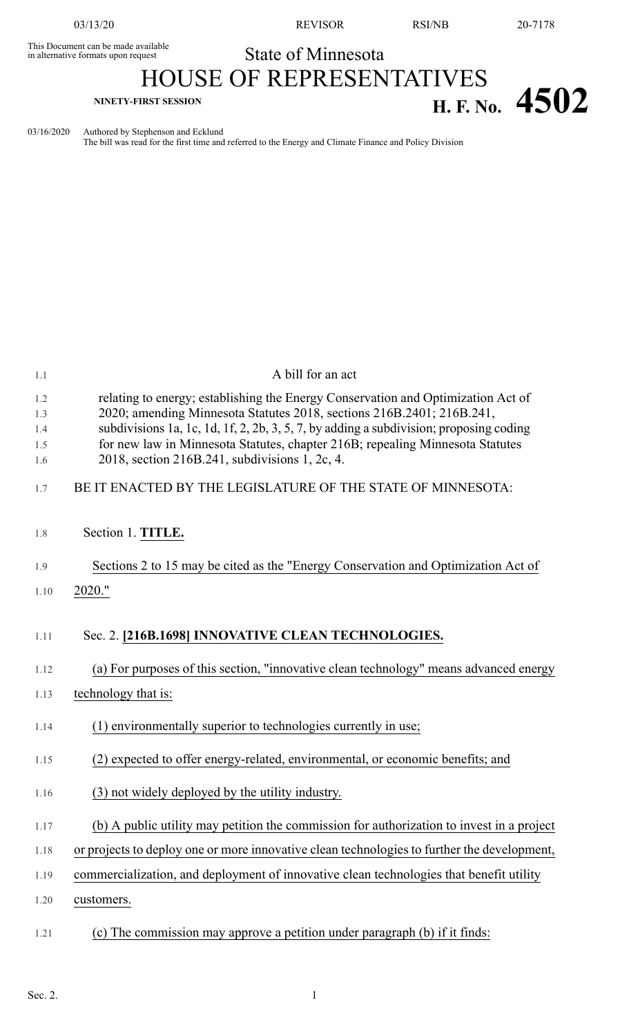This Document can be made available<br>in alternative formats upon request

03/13/20 REVISOR RSI/NB 20-7178

# State of Minnesota HOUSE OF REPRESENTATIVES **NINETY-FIRST SESSION H. F. No. 4502**

03/16/2020 Authored by Stephenson and Ecklund

The bill was read for the first time and referred to the Energy and Climate Finance and Policy Division

| 1.1                             | A bill for an act                                                                                                                                                                                                                                                                                                                                                                      |
|---------------------------------|----------------------------------------------------------------------------------------------------------------------------------------------------------------------------------------------------------------------------------------------------------------------------------------------------------------------------------------------------------------------------------------|
| 1.2<br>1.3<br>1.4<br>1.5<br>1.6 | relating to energy; establishing the Energy Conservation and Optimization Act of<br>2020; amending Minnesota Statutes 2018, sections 216B.2401; 216B.241,<br>subdivisions 1a, 1c, 1d, 1f, 2, 2b, 3, 5, 7, by adding a subdivision; proposing coding<br>for new law in Minnesota Statutes, chapter 216B; repealing Minnesota Statutes<br>2018, section 216B.241, subdivisions 1, 2c, 4. |
| 1.7                             | BE IT ENACTED BY THE LEGISLATURE OF THE STATE OF MINNESOTA:                                                                                                                                                                                                                                                                                                                            |
| 1.8                             | Section 1. TITLE.                                                                                                                                                                                                                                                                                                                                                                      |
| 1.9                             | Sections 2 to 15 may be cited as the "Energy Conservation and Optimization Act of                                                                                                                                                                                                                                                                                                      |
| 1.10                            | 2020."                                                                                                                                                                                                                                                                                                                                                                                 |
| 1.11                            | Sec. 2. [216B.1698] INNOVATIVE CLEAN TECHNOLOGIES.                                                                                                                                                                                                                                                                                                                                     |
| 1.12                            | (a) For purposes of this section, "innovative clean technology" means advanced energy                                                                                                                                                                                                                                                                                                  |
| 1.13                            | technology that is:                                                                                                                                                                                                                                                                                                                                                                    |
| 1.14                            | (1) environmentally superior to technologies currently in use;                                                                                                                                                                                                                                                                                                                         |
| 1.15                            | (2) expected to offer energy-related, environmental, or economic benefits; and                                                                                                                                                                                                                                                                                                         |
| 1.16                            | (3) not widely deployed by the utility industry.                                                                                                                                                                                                                                                                                                                                       |
| 1.17                            | (b) A public utility may petition the commission for authorization to invest in a project                                                                                                                                                                                                                                                                                              |
| 1.18                            | or projects to deploy one or more innovative clean technologies to further the development,                                                                                                                                                                                                                                                                                            |
| 1.19                            | commercialization, and deployment of innovative clean technologies that benefit utility                                                                                                                                                                                                                                                                                                |
| 1.20                            | customers.                                                                                                                                                                                                                                                                                                                                                                             |
| 1.21                            | (c) The commission may approve a petition under paragraph (b) if it finds:                                                                                                                                                                                                                                                                                                             |
|                                 |                                                                                                                                                                                                                                                                                                                                                                                        |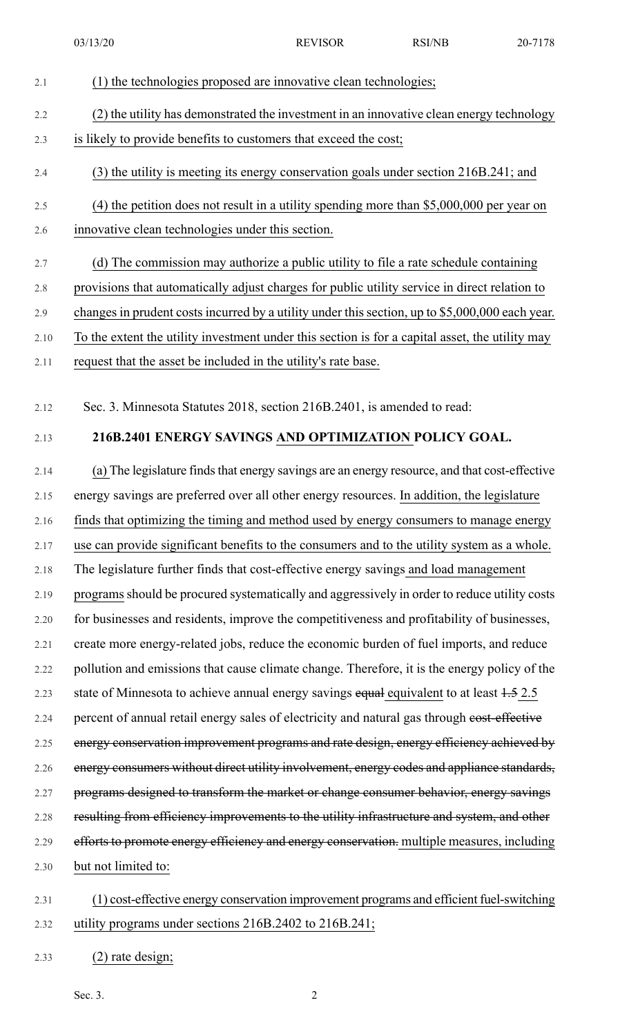2.1 (1) the technologies proposed are innovative clean technologies; 2.2 (2) the utility has demonstrated the investment in an innovative clean energy technology 2.3 is likely to provide benefits to customers that exceed the cost; 2.4 (3) the utility is meeting its energy conservation goals under section 216B.241; and 2.5 (4) the petition does not result in a utility spending more than \$5,000,000 per year on 2.6 innovative clean technologies under this section. 2.7 (d) The commission may authorize a public utility to file a rate schedule containing 2.8 provisions that automatically adjust charges for public utility service in direct relation to 2.9 changes in prudent costs incurred by a utility under this section, up to \$5,000,000 each year. 2.10 To the extent the utility investment under this section is for a capital asset, the utility may 2.11 request that the asset be included in the utility's rate base.

2.12 Sec. 3. Minnesota Statutes 2018, section 216B.2401, is amended to read:

## 2.13 **216B.2401 ENERGY SAVINGS AND OPTIMIZATION POLICY GOAL.**

2.14 (a) The legislature finds that energy savings are an energy resource, and that cost-effective 2.15 energy savings are preferred over all other energy resources. In addition, the legislature 2.16 finds that optimizing the timing and method used by energy consumers to manage energy 2.17 use can provide significant benefits to the consumers and to the utility system as a whole. 2.18 The legislature further finds that cost-effective energy savings and load management 2.19 programs should be procured systematically and aggressively in order to reduce utility costs 2.20 for businesses and residents, improve the competitiveness and profitability of businesses, 2.21 create more energy-related jobs, reduce the economic burden of fuel imports, and reduce 2.22 pollution and emissions that cause climate change. Therefore, it is the energy policy of the 2.23 state of Minnesota to achieve annual energy savings equal equivalent to at least  $1.5$  2.5 2.24 percent of annual retail energy sales of electricity and natural gas through cost-effective 2.25 energy conservation improvement programs and rate design, energy efficiency achieved by 2.26 energy consumers without direct utility involvement, energy codes and appliance standards, 2.27 programs designed to transform the market or change consumer behavior, energy savings 2.28 resulting from efficiency improvements to the utility infrastructure and system, and other 2.29 efforts to promote energy efficiency and energy conservation. multiple measures, including 2.30 but not limited to:

- 2.31 (1) cost-effective energy conservation improvement programs and efficient fuel-switching 2.32 utility programs under sections 216B.2402 to 216B.241;
- 2.33 (2) rate design;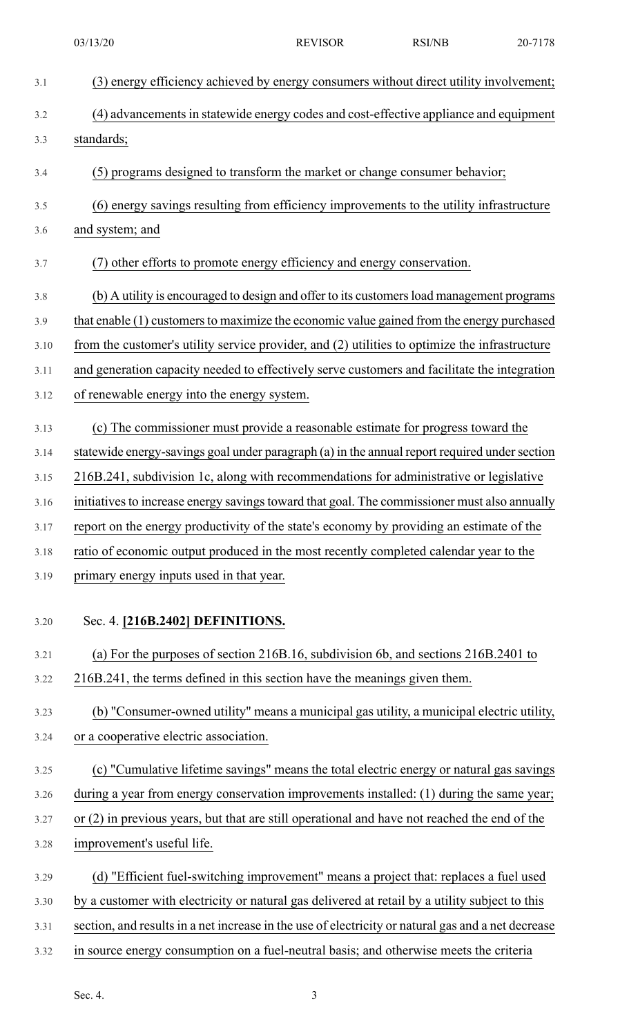| 3.1  | (3) energy efficiency achieved by energy consumers without direct utility involvement;             |
|------|----------------------------------------------------------------------------------------------------|
| 3.2  | (4) advancements in statewide energy codes and cost-effective appliance and equipment              |
| 3.3  | standards;                                                                                         |
| 3.4  | (5) programs designed to transform the market or change consumer behavior;                         |
| 3.5  | (6) energy savings resulting from efficiency improvements to the utility infrastructure            |
| 3.6  | and system; and                                                                                    |
| 3.7  | (7) other efforts to promote energy efficiency and energy conservation.                            |
| 3.8  | (b) A utility is encouraged to design and offer to its customers load management programs          |
| 3.9  | that enable (1) customers to maximize the economic value gained from the energy purchased          |
| 3.10 | from the customer's utility service provider, and (2) utilities to optimize the infrastructure     |
| 3.11 | and generation capacity needed to effectively serve customers and facilitate the integration       |
| 3.12 | of renewable energy into the energy system.                                                        |
| 3.13 | (c) The commissioner must provide a reasonable estimate for progress toward the                    |
| 3.14 | statewide energy-savings goal under paragraph (a) in the annual report required under section      |
| 3.15 | 216B.241, subdivision 1c, along with recommendations for administrative or legislative             |
| 3.16 | initiatives to increase energy savings toward that goal. The commissioner must also annually       |
| 3.17 | report on the energy productivity of the state's economy by providing an estimate of the           |
| 3.18 | ratio of economic output produced in the most recently completed calendar year to the              |
| 3.19 | primary energy inputs used in that year.                                                           |
| 3.20 | Sec. 4. [216B.2402] DEFINITIONS.                                                                   |
| 3.21 | (a) For the purposes of section 216B.16, subdivision 6b, and sections 216B.2401 to                 |
| 3.22 | 216B.241, the terms defined in this section have the meanings given them.                          |
| 3.23 | (b) "Consumer-owned utility" means a municipal gas utility, a municipal electric utility,          |
| 3.24 | or a cooperative electric association.                                                             |
| 3.25 | (c) "Cumulative lifetime savings" means the total electric energy or natural gas savings           |
| 3.26 | during a year from energy conservation improvements installed: (1) during the same year;           |
| 3.27 | or $(2)$ in previous years, but that are still operational and have not reached the end of the     |
| 3.28 | improvement's useful life.                                                                         |
| 3.29 | (d) "Efficient fuel-switching improvement" means a project that: replaces a fuel used              |
| 3.30 | by a customer with electricity or natural gas delivered at retail by a utility subject to this     |
| 3.31 | section, and results in a net increase in the use of electricity or natural gas and a net decrease |
| 3.32 | in source energy consumption on a fuel-neutral basis; and otherwise meets the criteria             |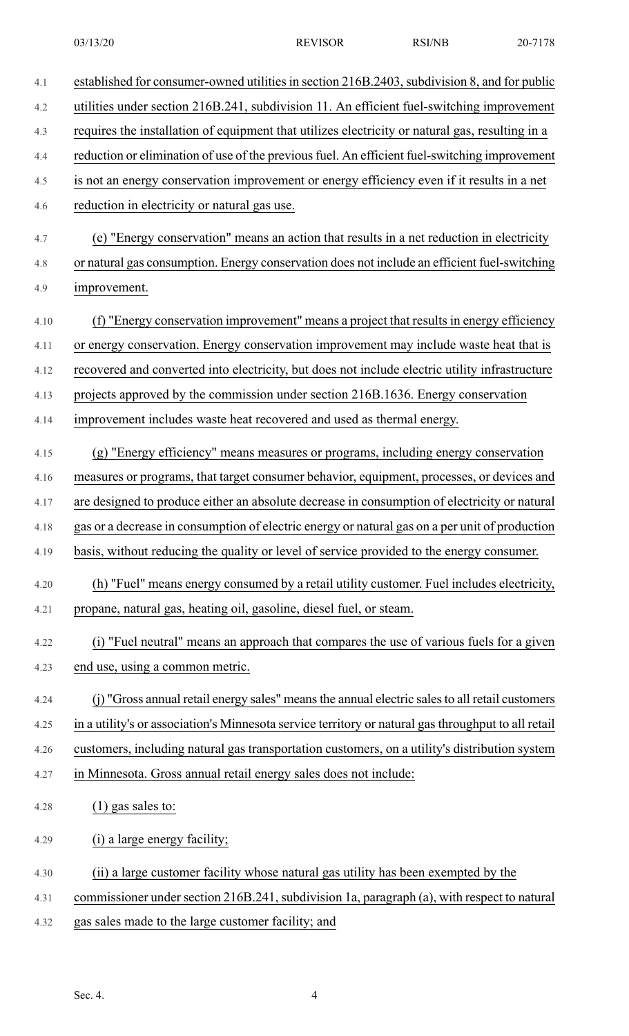| 4.1  | established for consumer-owned utilities in section 216B.2403, subdivision 8, and for public        |
|------|-----------------------------------------------------------------------------------------------------|
| 4.2  | utilities under section 216B.241, subdivision 11. An efficient fuel-switching improvement           |
| 4.3  | requires the installation of equipment that utilizes electricity or natural gas, resulting in a     |
| 4.4  | reduction or elimination of use of the previous fuel. An efficient fuel-switching improvement       |
| 4.5  | is not an energy conservation improvement or energy efficiency even if it results in a net          |
| 4.6  | reduction in electricity or natural gas use.                                                        |
| 4.7  | (e) "Energy conservation" means an action that results in a net reduction in electricity            |
| 4.8  | or natural gas consumption. Energy conservation does not include an efficient fuel-switching        |
| 4.9  | improvement.                                                                                        |
| 4.10 | (f) "Energy conservation improvement" means a project that results in energy efficiency             |
| 4.11 | or energy conservation. Energy conservation improvement may include waste heat that is              |
| 4.12 | recovered and converted into electricity, but does not include electric utility infrastructure      |
| 4.13 | projects approved by the commission under section 216B.1636. Energy conservation                    |
| 4.14 | improvement includes waste heat recovered and used as thermal energy.                               |
| 4.15 | (g) "Energy efficiency" means measures or programs, including energy conservation                   |
| 4.16 | measures or programs, that target consumer behavior, equipment, processes, or devices and           |
| 4.17 | are designed to produce either an absolute decrease in consumption of electricity or natural        |
| 4.18 | gas or a decrease in consumption of electric energy or natural gas on a per unit of production      |
| 4.19 | basis, without reducing the quality or level of service provided to the energy consumer.            |
| 4.20 | (h) "Fuel" means energy consumed by a retail utility customer. Fuel includes electricity,           |
| 4.21 | propane, natural gas, heating oil, gasoline, diesel fuel, or steam.                                 |
| 4.22 | (i) "Fuel neutral" means an approach that compares the use of various fuels for a given             |
| 4.23 | end use, using a common metric.                                                                     |
| 4.24 | (j) "Gross annual retail energy sales" means the annual electric sales to all retail customers      |
| 4.25 | in a utility's or association's Minnesota service territory or natural gas throughput to all retail |
| 4.26 | customers, including natural gas transportation customers, on a utility's distribution system       |
| 4.27 | in Minnesota. Gross annual retail energy sales does not include:                                    |
| 4.28 | $(1)$ gas sales to:                                                                                 |
| 4.29 | (i) a large energy facility;                                                                        |
| 4.30 | (ii) a large customer facility whose natural gas utility has been exempted by the                   |
| 4.31 | commissioner under section 216B.241, subdivision 1a, paragraph (a), with respect to natural         |
| 4.32 | gas sales made to the large customer facility; and                                                  |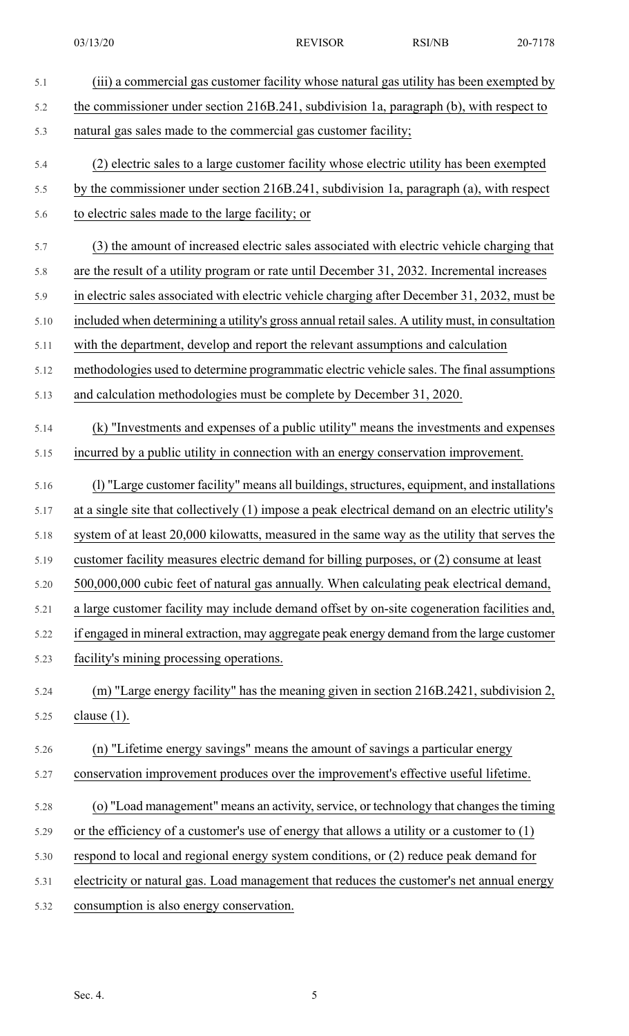- 5.1 (iii) a commercial gas customer facility whose natural gas utility has been exempted by 5.2 the commissioner under section 216B.241, subdivision 1a, paragraph (b), with respect to 5.3 natural gas sales made to the commercial gas customer facility; 5.4 (2) electric sales to a large customer facility whose electric utility has been exempted 5.5 by the commissioner under section 216B.241, subdivision 1a, paragraph (a), with respect 5.6 to electric sales made to the large facility; or 5.7 (3) the amount of increased electric sales associated with electric vehicle charging that 5.8 are the result of a utility program or rate until December 31, 2032. Incremental increases 5.9 in electric sales associated with electric vehicle charging after December 31, 2032, must be 5.10 included when determining a utility's gross annual retailsales. A utility must, in consultation 5.11 with the department, develop and report the relevant assumptions and calculation 5.12 methodologies used to determine programmatic electric vehicle sales. The final assumptions 5.13 and calculation methodologies must be complete by December 31, 2020. 5.14 (k) "Investments and expenses of a public utility" means the investments and expenses 5.15 incurred by a public utility in connection with an energy conservation improvement. 5.16 (l) "Large customer facility" means all buildings, structures, equipment, and installations 5.17 at a single site that collectively (1) impose a peak electrical demand on an electric utility's 5.18 system of at least 20,000 kilowatts, measured in the same way as the utility that serves the 5.19 customer facility measures electric demand for billing purposes, or (2) consume at least 5.20 500,000,000 cubic feet of natural gas annually. When calculating peak electrical demand, 5.21 a large customer facility may include demand offset by on-site cogeneration facilities and, 5.22 if engaged in mineral extraction, may aggregate peak energy demand from the large customer 5.23 facility's mining processing operations. 5.24 (m) "Large energy facility" has the meaning given in section 216B.2421, subdivision 2, 5.25 clause (1). 5.26 (n) "Lifetime energy savings" means the amount of savings a particular energy 5.27 conservation improvement produces over the improvement's effective useful lifetime. 5.28 (o) "Load management" means an activity, service, or technology that changes the timing 5.29 or the efficiency of a customer's use of energy that allows a utility or a customer to (1) 5.30 respond to local and regional energy system conditions, or (2) reduce peak demand for 5.31 electricity or natural gas. Load management that reduces the customer's net annual energy 5.32 consumption is also energy conservation.
	- Sec. 4.  $\frac{5}{5}$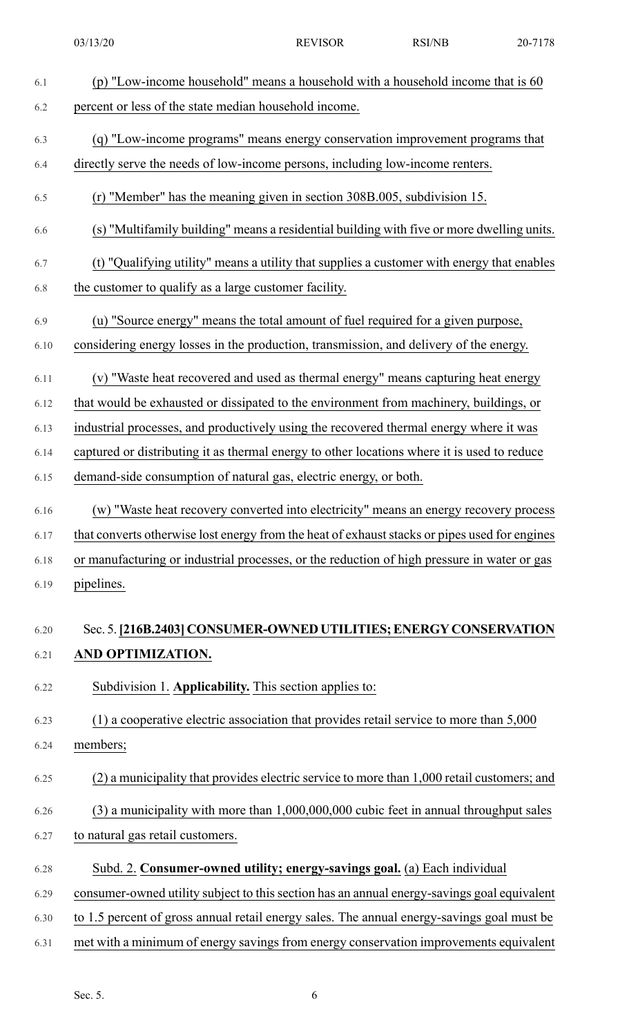| 6.1  | (p) "Low-income household" means a household with a household income that is 60               |
|------|-----------------------------------------------------------------------------------------------|
| 6.2  | percent or less of the state median household income.                                         |
| 6.3  | (q) "Low-income programs" means energy conservation improvement programs that                 |
| 6.4  | directly serve the needs of low-income persons, including low-income renters.                 |
| 6.5  | (r) "Member" has the meaning given in section 308B.005, subdivision 15.                       |
| 6.6  | (s) "Multifamily building" means a residential building with five or more dwelling units.     |
| 6.7  | (t) "Qualifying utility" means a utility that supplies a customer with energy that enables    |
| 6.8  | the customer to qualify as a large customer facility.                                         |
| 6.9  | (u) "Source energy" means the total amount of fuel required for a given purpose,              |
| 6.10 | considering energy losses in the production, transmission, and delivery of the energy.        |
| 6.11 | (v) "Waste heat recovered and used as thermal energy" means capturing heat energy             |
| 6.12 | that would be exhausted or dissipated to the environment from machinery, buildings, or        |
| 6.13 | industrial processes, and productively using the recovered thermal energy where it was        |
| 6.14 | captured or distributing it as thermal energy to other locations where it is used to reduce   |
| 6.15 | demand-side consumption of natural gas, electric energy, or both.                             |
| 6.16 | (w) "Waste heat recovery converted into electricity" means an energy recovery process         |
| 6.17 | that converts otherwise lost energy from the heat of exhaust stacks or pipes used for engines |
| 6.18 | or manufacturing or industrial processes, or the reduction of high pressure in water or gas   |
| 6.19 | pipelines.                                                                                    |
| 6.20 | Sec. 5. [216B.2403] CONSUMER-OWNED UTILITIES; ENERGY CONSERVATION                             |
| 6.21 | AND OPTIMIZATION.                                                                             |
| 6.22 | Subdivision 1. Applicability. This section applies to:                                        |
| 6.23 | $(1)$ a cooperative electric association that provides retail service to more than 5,000      |
| 6.24 | members;                                                                                      |
| 6.25 | (2) a municipality that provides electric service to more than 1,000 retail customers; and    |
| 6.26 | $(3)$ a municipality with more than $1,000,000,000$ cubic feet in annual throughput sales     |
| 6.27 | to natural gas retail customers.                                                              |
| 6.28 | Subd. 2. Consumer-owned utility; energy-savings goal. (a) Each individual                     |
| 6.29 | consumer-owned utility subject to this section has an annual energy-savings goal equivalent   |
| 6.30 | to 1.5 percent of gross annual retail energy sales. The annual energy-savings goal must be    |
| 6.31 | met with a minimum of energy savings from energy conservation improvements equivalent         |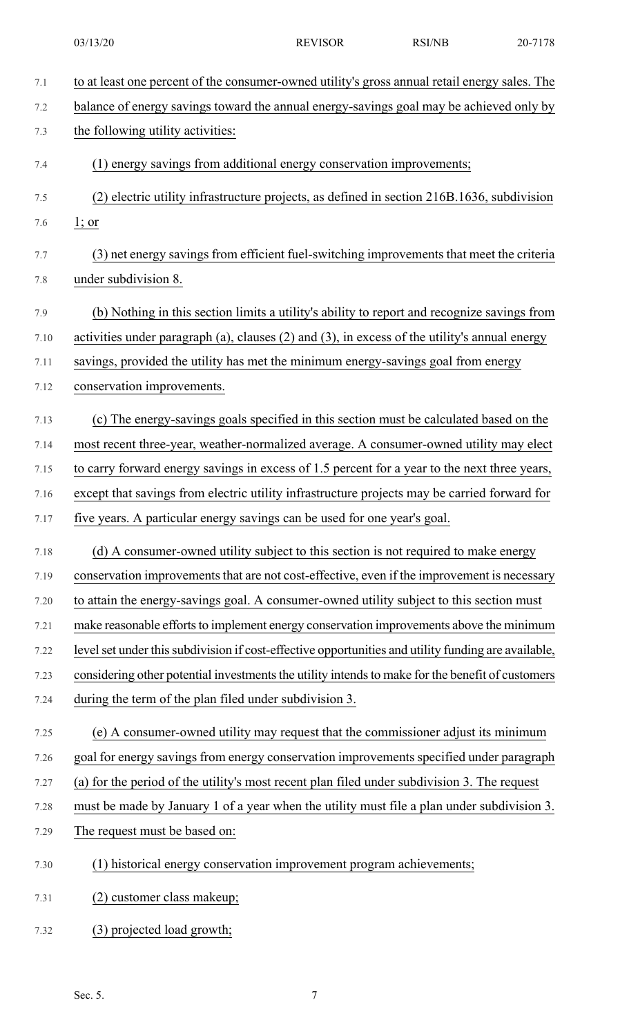| 7.1  | to at least one percent of the consumer-owned utility's gross annual retail energy sales. The       |
|------|-----------------------------------------------------------------------------------------------------|
| 7.2  | balance of energy savings toward the annual energy-savings goal may be achieved only by             |
| 7.3  | the following utility activities:                                                                   |
| 7.4  | (1) energy savings from additional energy conservation improvements;                                |
| 7.5  | (2) electric utility infrastructure projects, as defined in section 216B.1636, subdivision          |
| 7.6  | $1;$ or                                                                                             |
| 7.7  | (3) net energy savings from efficient fuel-switching improvements that meet the criteria            |
| 7.8  | under subdivision 8.                                                                                |
| 7.9  | (b) Nothing in this section limits a utility's ability to report and recognize savings from         |
| 7.10 | activities under paragraph (a), clauses $(2)$ and $(3)$ , in excess of the utility's annual energy  |
| 7.11 | savings, provided the utility has met the minimum energy-savings goal from energy                   |
| 7.12 | conservation improvements.                                                                          |
| 7.13 | (c) The energy-savings goals specified in this section must be calculated based on the              |
| 7.14 | most recent three-year, weather-normalized average. A consumer-owned utility may elect              |
| 7.15 | to carry forward energy savings in excess of 1.5 percent for a year to the next three years,        |
| 7.16 | except that savings from electric utility infrastructure projects may be carried forward for        |
| 7.17 | five years. A particular energy savings can be used for one year's goal.                            |
| 7.18 | (d) A consumer-owned utility subject to this section is not required to make energy                 |
| 7.19 | conservation improvements that are not cost-effective, even if the improvement is necessary         |
| 7.20 | to attain the energy-savings goal. A consumer-owned utility subject to this section must            |
| 7.21 | make reasonable efforts to implement energy conservation improvements above the minimum             |
| 7.22 | level set under this subdivision if cost-effective opportunities and utility funding are available, |
| 7.23 | considering other potential investments the utility intends to make for the benefit of customers    |
| 7.24 | during the term of the plan filed under subdivision 3.                                              |
| 7.25 | (e) A consumer-owned utility may request that the commissioner adjust its minimum                   |
| 7.26 | goal for energy savings from energy conservation improvements specified under paragraph             |
| 7.27 | (a) for the period of the utility's most recent plan filed under subdivision 3. The request         |
| 7.28 | must be made by January 1 of a year when the utility must file a plan under subdivision 3.          |
| 7.29 | The request must be based on:                                                                       |
| 7.30 | (1) historical energy conservation improvement program achievements;                                |
| 7.31 | (2) customer class makeup;                                                                          |
| 7.32 | (3) projected load growth;                                                                          |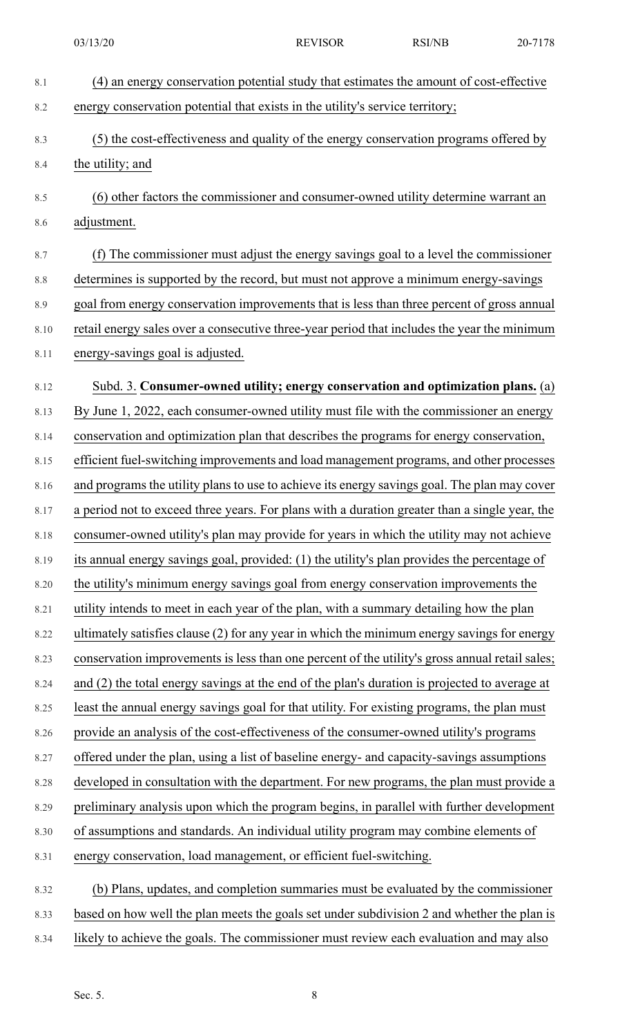| 8.1     | (4) an energy conservation potential study that estimates the amount of cost-effective         |
|---------|------------------------------------------------------------------------------------------------|
| 8.2     | energy conservation potential that exists in the utility's service territory;                  |
| 8.3     | (5) the cost-effectiveness and quality of the energy conservation programs offered by          |
| 8.4     | the utility; and                                                                               |
| 8.5     | (6) other factors the commissioner and consumer-owned utility determine warrant an             |
| 8.6     | adjustment.                                                                                    |
| 8.7     | (f) The commissioner must adjust the energy savings goal to a level the commissioner           |
| $8.8\,$ | determines is supported by the record, but must not approve a minimum energy-savings           |
| 8.9     | goal from energy conservation improvements that is less than three percent of gross annual     |
| 8.10    | retail energy sales over a consecutive three-year period that includes the year the minimum    |
| 8.11    | energy-savings goal is adjusted.                                                               |
| 8.12    | Subd. 3. Consumer-owned utility; energy conservation and optimization plans. (a)               |
| 8.13    | By June 1, 2022, each consumer-owned utility must file with the commissioner an energy         |
| 8.14    | conservation and optimization plan that describes the programs for energy conservation,        |
| 8.15    | efficient fuel-switching improvements and load management programs, and other processes        |
| 8.16    | and programs the utility plans to use to achieve its energy savings goal. The plan may cover   |
| 8.17    | a period not to exceed three years. For plans with a duration greater than a single year, the  |
| 8.18    | consumer-owned utility's plan may provide for years in which the utility may not achieve       |
| 8.19    | its annual energy savings goal, provided: (1) the utility's plan provides the percentage of    |
| 8.20    | the utility's minimum energy savings goal from energy conservation improvements the            |
| 8.21    | utility intends to meet in each year of the plan, with a summary detailing how the plan        |
| 8.22    | ultimately satisfies clause (2) for any year in which the minimum energy savings for energy    |
| 8.23    | conservation improvements is less than one percent of the utility's gross annual retail sales; |
| 8.24    | and (2) the total energy savings at the end of the plan's duration is projected to average at  |
| 8.25    | least the annual energy savings goal for that utility. For existing programs, the plan must    |
| 8.26    | provide an analysis of the cost-effectiveness of the consumer-owned utility's programs         |
| 8.27    | offered under the plan, using a list of baseline energy- and capacity-savings assumptions      |
| 8.28    | developed in consultation with the department. For new programs, the plan must provide a       |
| 8.29    | preliminary analysis upon which the program begins, in parallel with further development       |
| 8.30    | of assumptions and standards. An individual utility program may combine elements of            |
| 8.31    | energy conservation, load management, or efficient fuel-switching.                             |
| 8.32    | (b) Plans, updates, and completion summaries must be evaluated by the commissioner             |
| 8.33    | based on how well the plan meets the goals set under subdivision 2 and whether the plan is     |

8.34 likely to achieve the goals. The commissioner must review each evaluation and may also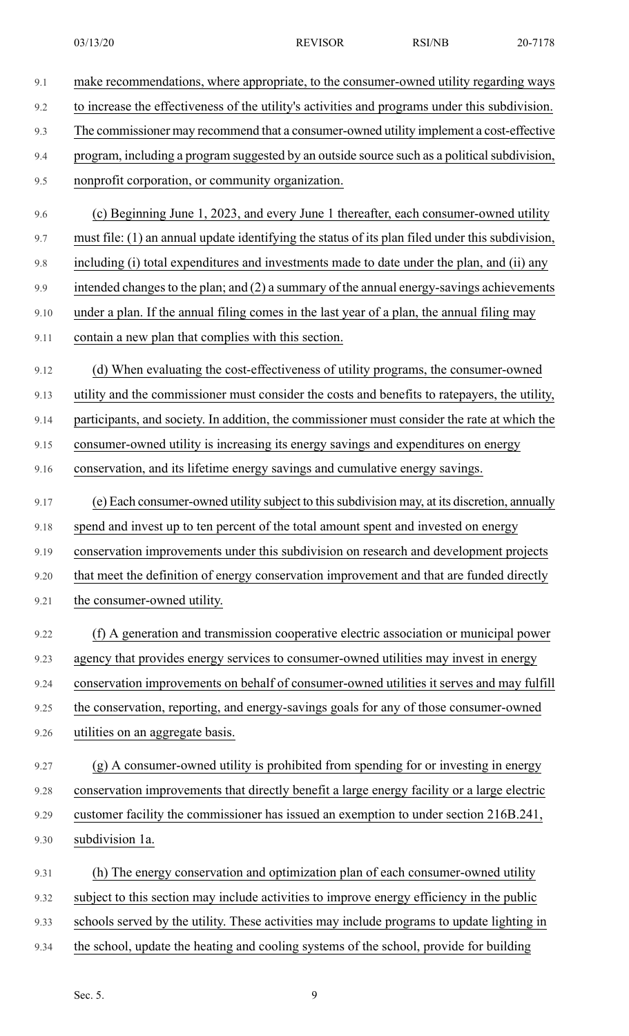| 9.1  | make recommendations, where appropriate, to the consumer-owned utility regarding ways            |
|------|--------------------------------------------------------------------------------------------------|
| 9.2  | to increase the effectiveness of the utility's activities and programs under this subdivision.   |
| 9.3  | The commissioner may recommend that a consumer-owned utility implement a cost-effective          |
| 9.4  | program, including a program suggested by an outside source such as a political subdivision,     |
| 9.5  | nonprofit corporation, or community organization.                                                |
| 9.6  | (c) Beginning June 1, 2023, and every June 1 thereafter, each consumer-owned utility             |
| 9.7  | must file: (1) an annual update identifying the status of its plan filed under this subdivision, |
| 9.8  | including (i) total expenditures and investments made to date under the plan, and (ii) any       |
| 9.9  | intended changes to the plan; and (2) a summary of the annual energy-savings achievements        |
| 9.10 | under a plan. If the annual filing comes in the last year of a plan, the annual filing may       |
| 9.11 | contain a new plan that complies with this section.                                              |
| 9.12 | (d) When evaluating the cost-effectiveness of utility programs, the consumer-owned               |
| 9.13 | utility and the commissioner must consider the costs and benefits to ratepayers, the utility,    |
| 9.14 | participants, and society. In addition, the commissioner must consider the rate at which the     |
| 9.15 | consumer-owned utility is increasing its energy savings and expenditures on energy               |
| 9.16 | conservation, and its lifetime energy savings and cumulative energy savings.                     |
| 9.17 | (e) Each consumer-owned utility subject to this subdivision may, at its discretion, annually     |
| 9.18 | spend and invest up to ten percent of the total amount spent and invested on energy              |
| 9.19 | conservation improvements under this subdivision on research and development projects            |
| 9.20 | that meet the definition of energy conservation improvement and that are funded directly         |
| 9.21 | the consumer-owned utility.                                                                      |
| 9.22 | (f) A generation and transmission cooperative electric association or municipal power            |
| 9.23 | agency that provides energy services to consumer-owned utilities may invest in energy            |
| 9.24 | conservation improvements on behalf of consumer-owned utilities it serves and may fulfill        |
| 9.25 | the conservation, reporting, and energy-savings goals for any of those consumer-owned            |
| 9.26 | utilities on an aggregate basis.                                                                 |
| 9.27 | (g) A consumer-owned utility is prohibited from spending for or investing in energy              |
| 9.28 | conservation improvements that directly benefit a large energy facility or a large electric      |
| 9.29 | customer facility the commissioner has issued an exemption to under section 216B.241,            |
| 9.30 | subdivision 1a.                                                                                  |
| 9.31 | (h) The energy conservation and optimization plan of each consumer-owned utility                 |
| 9.32 | subject to this section may include activities to improve energy efficiency in the public        |
| 9.33 | schools served by the utility. These activities may include programs to update lighting in       |
| 9.34 | the school, update the heating and cooling systems of the school, provide for building           |

Sec. 5. 9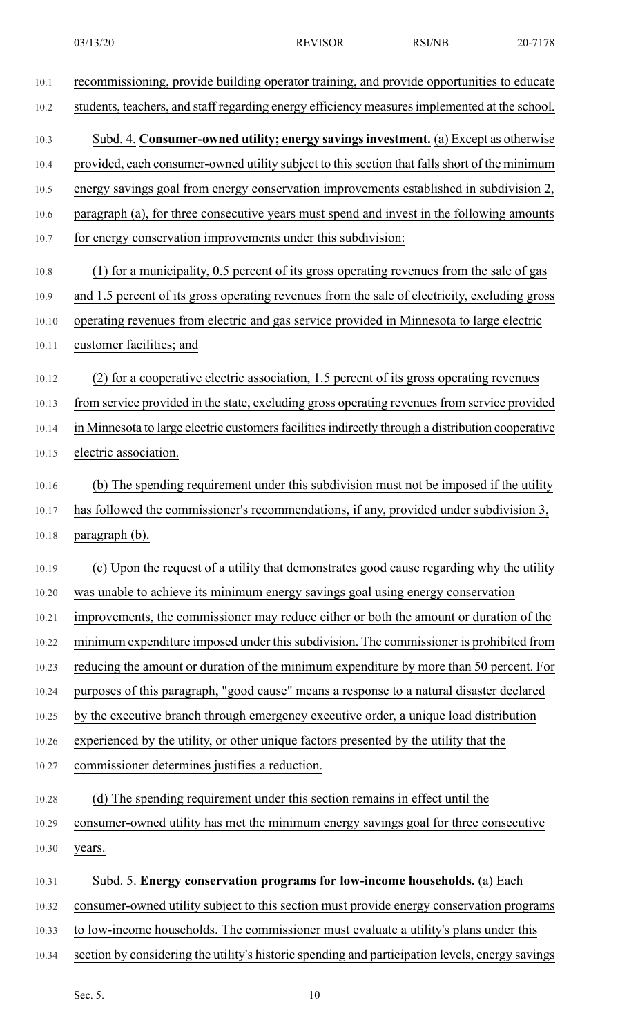- 10.1 recommissioning, provide building operator training, and provide opportunities to educate 10.2 students, teachers, and staff regarding energy efficiency measures implemented at the school. 10.3 Subd. 4. **Consumer-owned utility; energy savingsinvestment.** (a) Except as otherwise 10.4 provided, each consumer-owned utility subject to this section that falls short of the minimum 10.5 energy savings goal from energy conservation improvements established in subdivision 2, 10.6 paragraph (a), for three consecutive years must spend and invest in the following amounts 10.7 for energy conservation improvements under this subdivision: 10.8 (1) for a municipality, 0.5 percent of its gross operating revenues from the sale of gas 10.9 and 1.5 percent of its gross operating revenues from the sale of electricity, excluding gross 10.10 operating revenues from electric and gas service provided in Minnesota to large electric 10.11 customer facilities; and 10.12 (2) for a cooperative electric association, 1.5 percent of its gross operating revenues 10.13 from service provided in the state, excluding gross operating revenues from service provided 10.14 in Minnesota to large electric customers facilities indirectly through a distribution cooperative 10.15 electric association. 10.16 (b) The spending requirement under this subdivision must not be imposed if the utility 10.17 has followed the commissioner's recommendations, if any, provided under subdivision 3, 10.18 paragraph (b). 10.19 (c) Upon the request of a utility that demonstrates good cause regarding why the utility 10.20 was unable to achieve its minimum energy savings goal using energy conservation 10.21 improvements, the commissioner may reduce either or both the amount or duration of the 10.22 minimum expenditure imposed under this subdivision. The commissioner is prohibited from 10.23 reducing the amount or duration of the minimum expenditure by more than 50 percent. For 10.24 purposes of this paragraph, "good cause" means a response to a natural disaster declared 10.25 by the executive branch through emergency executive order, a unique load distribution 10.26 experienced by the utility, or other unique factors presented by the utility that the 10.27 commissioner determines justifies a reduction. 10.28 (d) The spending requirement under this section remains in effect until the 10.29 consumer-owned utility has met the minimum energy savings goal for three consecutive 10.30 years. 10.31 Subd. 5. **Energy conservation programs for low-income households.** (a) Each 10.32 consumer-owned utility subject to this section must provide energy conservation programs 10.33 to low-income households. The commissioner must evaluate a utility's plans under this
- 10.34 section by considering the utility's historic spending and participation levels, energy savings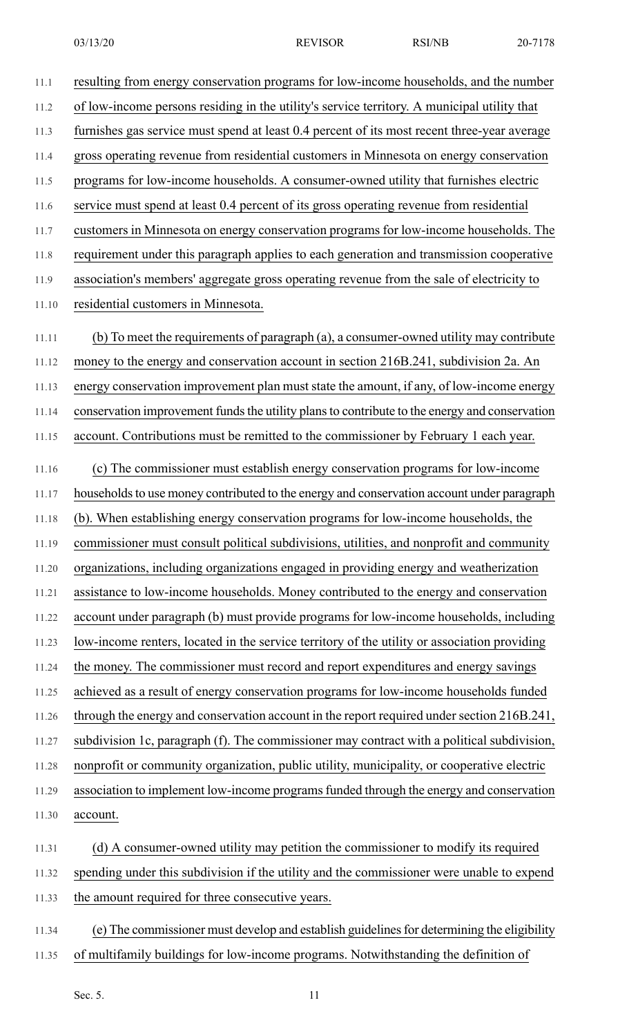11.1 resulting from energy conservation programs for low-income households, and the number 11.2 of low-income persons residing in the utility's service territory. A municipal utility that 11.3 furnishes gas service must spend at least 0.4 percent of its most recent three-year average 11.4 gross operating revenue from residential customers in Minnesota on energy conservation 11.5 programs for low-income households. A consumer-owned utility that furnishes electric

11.6 service must spend at least 0.4 percent of its gross operating revenue from residential

11.7 customers in Minnesota on energy conservation programs for low-income households. The

11.8 requirement under this paragraph applies to each generation and transmission cooperative

11.9 association's members' aggregate gross operating revenue from the sale of electricity to

11.10 residential customers in Minnesota.

11.11 (b) To meet the requirements of paragraph (a), a consumer-owned utility may contribute 11.12 money to the energy and conservation account in section 216B.241, subdivision 2a. An 11.13 energy conservation improvement plan must state the amount, if any, of low-income energy 11.14 conservation improvement funds the utility plans to contribute to the energy and conservation 11.15 account. Contributions must be remitted to the commissioner by February 1 each year.

11.16 (c) The commissioner must establish energy conservation programs for low-income 11.17 households to use money contributed to the energy and conservation account under paragraph 11.18 (b). When establishing energy conservation programs for low-income households, the 11.19 commissioner must consult political subdivisions, utilities, and nonprofit and community 11.20 organizations, including organizations engaged in providing energy and weatherization 11.21 assistance to low-income households. Money contributed to the energy and conservation 11.22 account under paragraph (b) must provide programs for low-income households, including 11.23 low-income renters, located in the service territory of the utility or association providing 11.24 the money. The commissioner must record and report expenditures and energy savings 11.25 achieved as a result of energy conservation programs for low-income households funded 11.26 through the energy and conservation account in the report required under section 216B.241, 11.27 subdivision 1c, paragraph (f). The commissioner may contract with a political subdivision, 11.28 nonprofit or community organization, public utility, municipality, or cooperative electric 11.29 association to implement low-income programsfunded through the energy and conservation 11.30 account.

11.31 (d) A consumer-owned utility may petition the commissioner to modify its required 11.32 spending under this subdivision if the utility and the commissioner were unable to expend

11.33 the amount required for three consecutive years.

11.34 (e) The commissioner must develop and establish guidelinesfor determining the eligibility

11.35 of multifamily buildings for low-income programs. Notwithstanding the definition of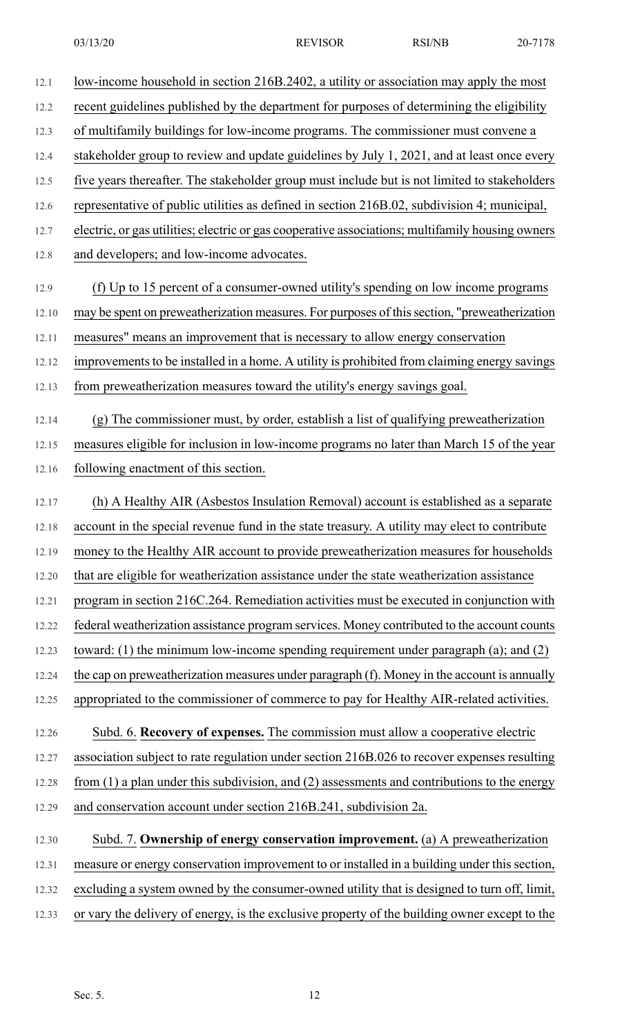| 12.1  | low-income household in section 216B.2402, a utility or association may apply the most           |
|-------|--------------------------------------------------------------------------------------------------|
| 12.2  | recent guidelines published by the department for purposes of determining the eligibility        |
| 12.3  | of multifamily buildings for low-income programs. The commissioner must convene a                |
| 12.4  | stakeholder group to review and update guidelines by July 1, 2021, and at least once every       |
| 12.5  | five years thereafter. The stakeholder group must include but is not limited to stakeholders     |
| 12.6  | representative of public utilities as defined in section 216B.02, subdivision 4; municipal,      |
| 12.7  | electric, or gas utilities; electric or gas cooperative associations; multifamily housing owners |
| 12.8  | and developers; and low-income advocates.                                                        |
| 12.9  | (f) Up to 15 percent of a consumer-owned utility's spending on low income programs               |
| 12.10 | may be spent on preweatherization measures. For purposes of this section, "preweatherization     |
| 12.11 | measures" means an improvement that is necessary to allow energy conservation                    |
| 12.12 | improvements to be installed in a home. A utility is prohibited from claiming energy savings     |
| 12.13 | from preweatherization measures toward the utility's energy savings goal.                        |
| 12.14 | (g) The commissioner must, by order, establish a list of qualifying preweatherization            |
| 12.15 | measures eligible for inclusion in low-income programs no later than March 15 of the year        |
| 12.16 | following enactment of this section.                                                             |
| 12.17 | (h) A Healthy AIR (Asbestos Insulation Removal) account is established as a separate             |
| 12.18 | account in the special revenue fund in the state treasury. A utility may elect to contribute     |
| 12.19 | money to the Healthy AIR account to provide preweatherization measures for households            |
| 12.20 | that are eligible for weatherization assistance under the state weatherization assistance        |
| 12.21 | program in section 216C.264. Remediation activities must be executed in conjunction with         |
| 12.22 | federal weatherization assistance program services. Money contributed to the account counts      |
| 12.23 | toward: (1) the minimum low-income spending requirement under paragraph (a); and $(2)$           |
| 12.24 | the cap on preweatherization measures under paragraph (f). Money in the account is annually      |
| 12.25 | appropriated to the commissioner of commerce to pay for Healthy AIR-related activities.          |
| 12.26 | Subd. 6. Recovery of expenses. The commission must allow a cooperative electric                  |
| 12.27 | association subject to rate regulation under section 216B.026 to recover expenses resulting      |
| 12.28 | from $(1)$ a plan under this subdivision, and $(2)$ assessments and contributions to the energy  |
| 12.29 | and conservation account under section 216B.241, subdivision 2a.                                 |
| 12.30 | Subd. 7. Ownership of energy conservation improvement. (a) A preweatherization                   |
| 12.31 | measure or energy conservation improvement to or installed in a building under this section,     |
| 12.32 | excluding a system owned by the consumer-owned utility that is designed to turn off, limit,      |

12.33 or vary the delivery of energy, is the exclusive property of the building owner except to the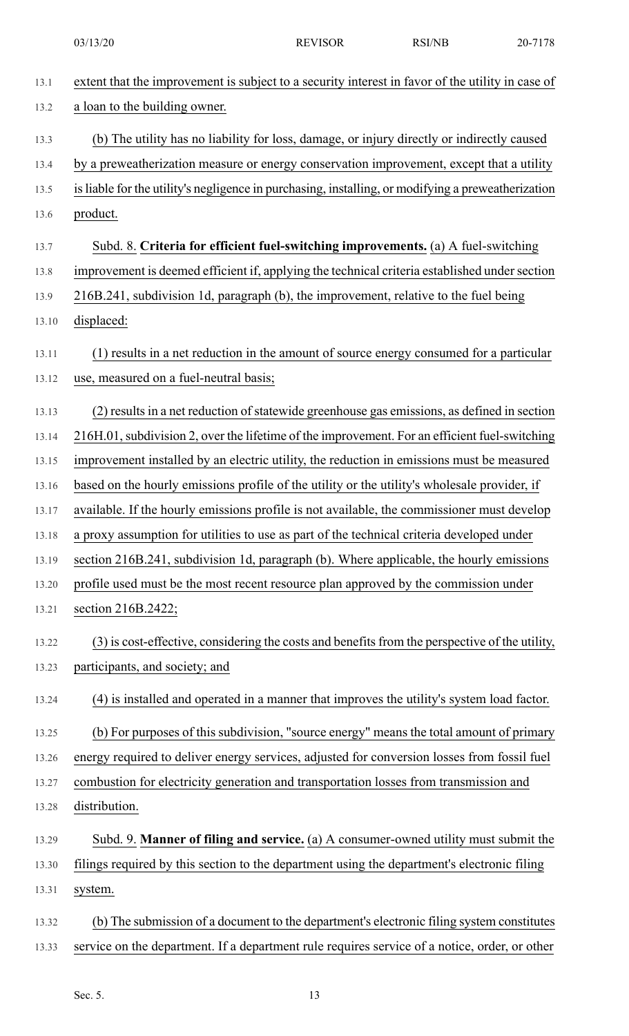| 13.1  | extent that the improvement is subject to a security interest in favor of the utility in case of   |
|-------|----------------------------------------------------------------------------------------------------|
| 13.2  | a loan to the building owner.                                                                      |
| 13.3  | (b) The utility has no liability for loss, damage, or injury directly or indirectly caused         |
| 13.4  | by a preweatherization measure or energy conservation improvement, except that a utility           |
| 13.5  | is liable for the utility's negligence in purchasing, installing, or modifying a preweatherization |
| 13.6  | product.                                                                                           |
| 13.7  | Subd. 8. Criteria for efficient fuel-switching improvements. (a) A fuel-switching                  |
| 13.8  | improvement is deemed efficient if, applying the technical criteria established under section      |
| 13.9  | 216B.241, subdivision 1d, paragraph (b), the improvement, relative to the fuel being               |
| 13.10 | displaced:                                                                                         |
| 13.11 | (1) results in a net reduction in the amount of source energy consumed for a particular            |
| 13.12 | use, measured on a fuel-neutral basis;                                                             |
| 13.13 | (2) results in a net reduction of statewide greenhouse gas emissions, as defined in section        |
| 13.14 | 216H.01, subdivision 2, over the lifetime of the improvement. For an efficient fuel-switching      |
| 13.15 | improvement installed by an electric utility, the reduction in emissions must be measured          |
| 13.16 | based on the hourly emissions profile of the utility or the utility's wholesale provider, if       |
| 13.17 | available. If the hourly emissions profile is not available, the commissioner must develop         |
| 13.18 | a proxy assumption for utilities to use as part of the technical criteria developed under          |
| 13.19 | section 216B.241, subdivision 1d, paragraph (b). Where applicable, the hourly emissions            |
| 13.20 | profile used must be the most recent resource plan approved by the commission under                |
| 13.21 | section 216B.2422;                                                                                 |
| 13.22 | (3) is cost-effective, considering the costs and benefits from the perspective of the utility,     |
| 13.23 | participants, and society; and                                                                     |
| 13.24 | (4) is installed and operated in a manner that improves the utility's system load factor.          |
| 13.25 | (b) For purposes of this subdivision, "source energy" means the total amount of primary            |
| 13.26 | energy required to deliver energy services, adjusted for conversion losses from fossil fuel        |
| 13.27 | combustion for electricity generation and transportation losses from transmission and              |
| 13.28 | distribution.                                                                                      |
| 13.29 | Subd. 9. <b>Manner of filing and service.</b> (a) A consumer-owned utility must submit the         |
| 13.30 | filings required by this section to the department using the department's electronic filing        |
| 13.31 | system.                                                                                            |
| 13.32 | (b) The submission of a document to the department's electronic filing system constitutes          |
| 13.33 | service on the department. If a department rule requires service of a notice, order, or other      |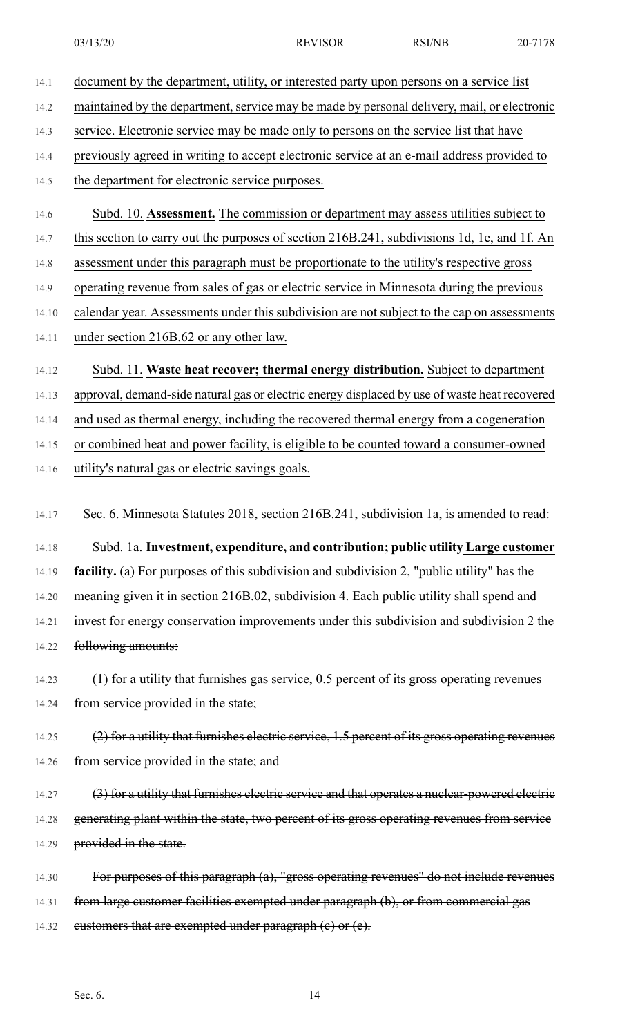14.2 maintained by the department, service may be made by personal delivery, mail, or electronic

14.3 service. Electronic service may be made only to persons on the service list that have

14.4 previously agreed in writing to accept electronic service at an e-mail address provided to

14.5 the department for electronic service purposes.

- 14.6 Subd. 10. **Assessment.** The commission or department may assess utilities subject to
- 14.7 this section to carry out the purposes of section 216B.241, subdivisions 1d, 1e, and 1f. An
- 14.8 assessment under this paragraph must be proportionate to the utility's respective gross
- 14.9 operating revenue from sales of gas or electric service in Minnesota during the previous
- 14.10 calendar year. Assessments under this subdivision are not subject to the cap on assessments
- 14.11 under section 216B.62 or any other law.
- 14.12 Subd. 11. **Waste heat recover; thermal energy distribution.** Subject to department

14.13 approval, demand-side natural gas or electric energy displaced by use of waste heat recovered

14.14 and used as thermal energy, including the recovered thermal energy from a cogeneration

- 14.15 or combined heat and power facility, is eligible to be counted toward a consumer-owned
- 14.16 utility's natural gas or electric savings goals.
- 14.17 Sec. 6. Minnesota Statutes 2018, section 216B.241, subdivision 1a, is amended to read:

14.18 Subd. 1a. **Investment, expenditure, and contribution; public utility Large customer**

14.19 **facility.** (a) For purposes of this subdivision and subdivision 2, "public utility" has the

14.20 meaning given it in section 216B.02, subdivision 4. Each public utility shall spend and

14.21 invest for energy conservation improvements under this subdivision and subdivision 2 the 14.22 following amounts:

14.23 (1) for a utility that furnishes gas service, 0.5 percent of its gross operating revenues 14.24 from service provided in the state;

14.25 (2) for a utility that furnishes electric service, 1.5 percent of its gross operating revenues 14.26 from service provided in the state; and

14.27 (3) for a utility that furnishes electric service and that operates a nuclear-powered electric 14.28 generating plant within the state, two percent of its gross operating revenues from service 14.29 provided in the state.

14.30 For purposes of this paragraph (a), "gross operating revenues" do not include revenues 14.31 from large customer facilities exempted under paragraph (b), or from commercial gas 14.32 eustomers that are exempted under paragraph (e) or (e).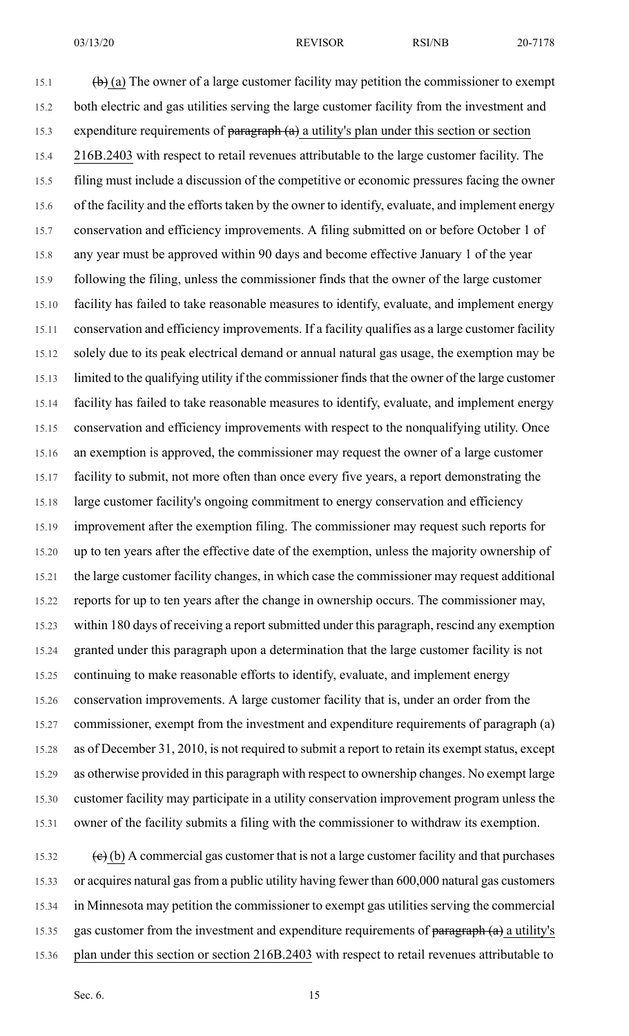15.1 (b) (a) The owner of a large customer facility may petition the commissioner to exempt 15.2 both electric and gas utilities serving the large customer facility from the investment and 15.3 expenditure requirements of  $\frac{\text{pargraph (a)}}{\text{a unit}}$  a utility's plan under this section or section 15.4 216B.2403 with respect to retail revenues attributable to the large customer facility. The 15.5 filing must include a discussion of the competitive or economic pressures facing the owner 15.6 of the facility and the efforts taken by the owner to identify, evaluate, and implement energy 15.7 conservation and efficiency improvements. A filing submitted on or before October 1 of 15.8 any year must be approved within 90 days and become effective January 1 of the year 15.9 following the filing, unless the commissioner finds that the owner of the large customer 15.10 facility has failed to take reasonable measures to identify, evaluate, and implement energy 15.11 conservation and efficiency improvements. If a facility qualifies as a large customer facility 15.12 solely due to its peak electrical demand or annual natural gas usage, the exemption may be 15.13 limited to the qualifying utility if the commissioner finds that the owner of the large customer 15.14 facility has failed to take reasonable measures to identify, evaluate, and implement energy 15.15 conservation and efficiency improvements with respect to the nonqualifying utility. Once 15.16 an exemption is approved, the commissioner may request the owner of a large customer 15.17 facility to submit, not more often than once every five years, a report demonstrating the 15.18 large customer facility's ongoing commitment to energy conservation and efficiency 15.19 improvement after the exemption filing. The commissioner may request such reports for 15.20 up to ten years after the effective date of the exemption, unless the majority ownership of 15.21 the large customer facility changes, in which case the commissioner may request additional 15.22 reports for up to ten years after the change in ownership occurs. The commissioner may, 15.23 within 180 days of receiving a report submitted under this paragraph, rescind any exemption 15.24 granted under this paragraph upon a determination that the large customer facility is not 15.25 continuing to make reasonable efforts to identify, evaluate, and implement energy 15.26 conservation improvements. A large customer facility that is, under an order from the 15.27 commissioner, exempt from the investment and expenditure requirements of paragraph (a) 15.28 as of December 31, 2010, is not required to submit a report to retain its exempt status, except 15.29 as otherwise provided in this paragraph with respect to ownership changes. No exempt large 15.30 customer facility may participate in a utility conservation improvement program unless the 15.31 owner of the facility submits a filing with the commissioner to withdraw its exemption.

15.32  $\left(\frac{e}{c}\right)$  (b) A commercial gas customer that is not a large customer facility and that purchases 15.33 or acquires natural gas from a public utility having fewer than 600,000 natural gas customers 15.34 in Minnesota may petition the commissioner to exempt gas utilities serving the commercial 15.35 gas customer from the investment and expenditure requirements of paragraph (a) a utility's 15.36 plan under this section or section 216B.2403 with respect to retail revenues attributable to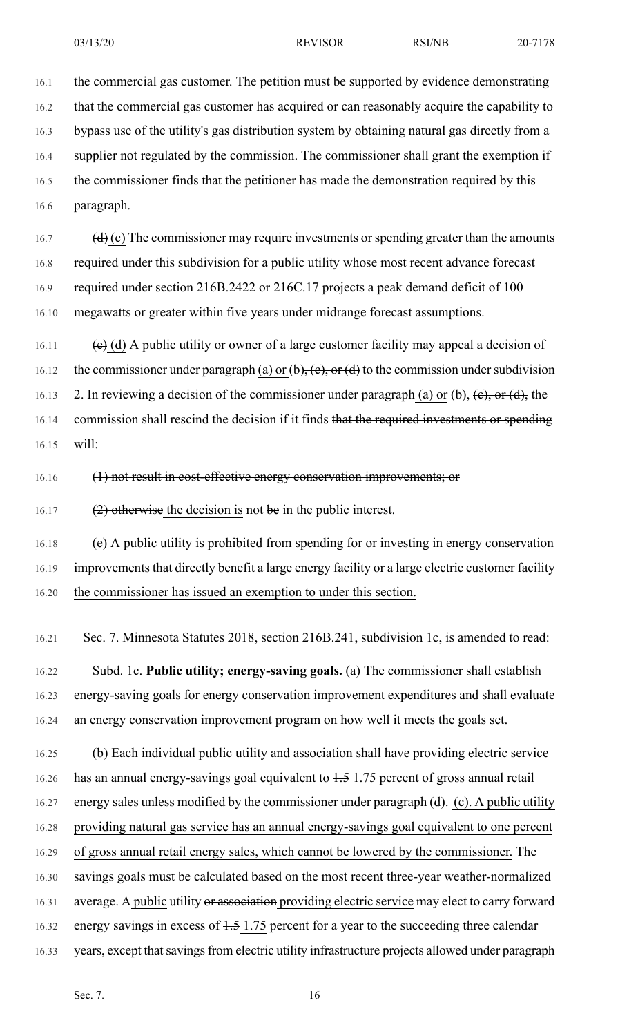16.1 the commercial gas customer. The petition must be supported by evidence demonstrating 16.2 that the commercial gas customer has acquired or can reasonably acquire the capability to 16.3 bypass use of the utility's gas distribution system by obtaining natural gas directly from a 16.4 supplier not regulated by the commission. The commissioner shall grant the exemption if 16.5 the commissioner finds that the petitioner has made the demonstration required by this 16.6 paragraph.

16.7 (d) (c) The commissioner may require investments or spending greater than the amounts 16.8 required under this subdivision for a public utility whose most recent advance forecast 16.9 required under section 216B.2422 or 216C.17 projects a peak demand deficit of 100 16.10 megawatts or greater within five years under midrange forecast assumptions.

16.11 (e) (d) A public utility or owner of a large customer facility may appeal a decision of 16.12 the commissioner under paragraph (a) or (b),  $(e)$ , or (d) to the commission under subdivision 16.13 2. In reviewing a decision of the commissioner under paragraph (a) or (b),  $(e)$ , or  $(d)$ , the 16.14 commission shall rescind the decision if it finds that the required investments or spending  $16.15$  will:

16.16 (1) not result in cost-effective energy conservation improvements; or

16.17 (2) otherwise the decision is not be in the public interest.

16.18 (e) A public utility is prohibited from spending for or investing in energy conservation

16.19 improvements that directly benefit a large energy facility or a large electric customer facility

16.20 the commissioner has issued an exemption to under this section.

16.21 Sec. 7. Minnesota Statutes 2018, section 216B.241, subdivision 1c, is amended to read:

16.22 Subd. 1c. **Public utility; energy-saving goals.** (a) The commissioner shall establish 16.23 energy-saving goals for energy conservation improvement expenditures and shall evaluate 16.24 an energy conservation improvement program on how well it meets the goals set.

16.25 (b) Each individual public utility and association shall have providing electric service

16.26 has an annual energy-savings goal equivalent to 1.5 1.75 percent of gross annual retail

16.27 energy sales unless modified by the commissioner under paragraph  $(d)$ . (c). A public utility

16.28 providing natural gas service has an annual energy-savings goal equivalent to one percent

16.29 of gross annual retail energy sales, which cannot be lowered by the commissioner. The

16.30 savings goals must be calculated based on the most recent three-year weather-normalized

16.31 average. A public utility or association providing electric service may elect to carry forward

- 16.32 energy savings in excess of  $1.5$  1.75 percent for a year to the succeeding three calendar
- 16.33 years, except that savings from electric utility infrastructure projects allowed under paragraph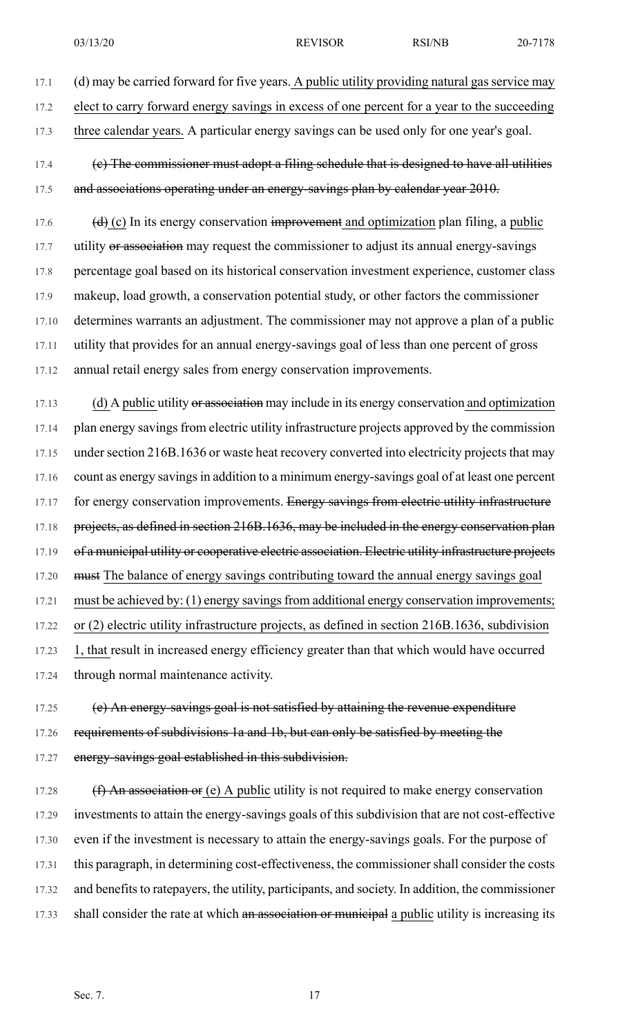- 03/13/20 REVISOR RSI/NB 20-7178
- 17.1 (d) may be carried forward for five years. A public utility providing natural gas service may 17.2 elect to carry forward energy savings in excess of one percent for a year to the succeeding
- 17.3 three calendar years. A particular energy savings can be used only for one year's goal.
- 17.4 (c) The commissioner must adopt a filing schedule that is designed to have all utilities 17.5 and associations operating under an energy-savings plan by calendar year 2010.
- 17.6  $(d)$  (c) In its energy conservation improvement and optimization plan filing, a public 17.7 utility or association may request the commissioner to adjust its annual energy-savings 17.8 percentage goal based on its historical conservation investment experience, customer class 17.9 makeup, load growth, a conservation potential study, or other factors the commissioner 17.10 determines warrants an adjustment. The commissioner may not approve a plan of a public 17.11 utility that provides for an annual energy-savings goal of less than one percent of gross 17.12 annual retail energy sales from energy conservation improvements.
- 17.13 (d) A public utility or association may include in its energy conservation and optimization 17.14 plan energy savings from electric utility infrastructure projects approved by the commission 17.15 under section 216B.1636 or waste heat recovery converted into electricity projects that may 17.16 count as energy savings in addition to a minimum energy-savings goal of at least one percent 17.17 for energy conservation improvements. Energy savings from electric utility infrastructure 17.18 projects, as defined in section 216B.1636, may be included in the energy conservation plan 17.19 of a municipal utility or cooperative electric association. Electric utility infrastructure projects 17.20 must The balance of energy savings contributing toward the annual energy savings goal 17.21 must be achieved by: (1) energy savings from additional energy conservation improvements; 17.22 or (2) electric utility infrastructure projects, as defined in section 216B.1636, subdivision 17.23 1, that result in increased energy efficiency greater than that which would have occurred 17.24 through normal maintenance activity.
- 17.25 (e) An energy-savings goal is not satisfied by attaining the revenue expenditure 17.26 requirements of subdivisions 1a and 1b, but can only be satisfied by meeting the 17.27 energy-savings goal established in this subdivision.
- 17.28  $(f)$  An association or (e) A public utility is not required to make energy conservation 17.29 investments to attain the energy-savings goals of this subdivision that are not cost-effective 17.30 even if the investment is necessary to attain the energy-savings goals. For the purpose of 17.31 this paragraph, in determining cost-effectiveness, the commissioner shall consider the costs 17.32 and benefits to ratepayers, the utility, participants, and society. In addition, the commissioner 17.33 shall consider the rate at which an association or municipal a public utility is increasing its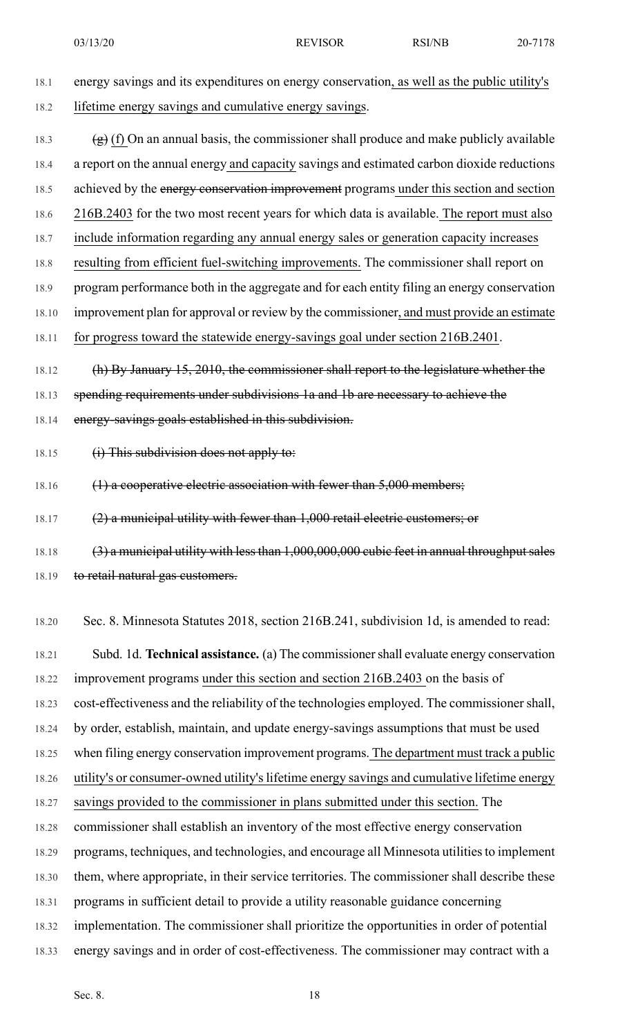03/13/20 REVISOR RSI/NB 20-7178

18.1 energy savings and its expenditures on energy conservation, as well as the public utility's 18.2 lifetime energy savings and cumulative energy savings.

18.3  $(g)$  (f) On an annual basis, the commissioner shall produce and make publicly available 18.4 a report on the annual energy and capacity savings and estimated carbon dioxide reductions 18.5 achieved by the energy conservation improvement programs under this section and section 18.6 216B.2403 for the two most recent years for which data is available. The report must also 18.7 include information regarding any annual energy sales or generation capacity increases 18.8 resulting from efficient fuel-switching improvements. The commissioner shall report on 18.9 program performance both in the aggregate and for each entity filing an energy conservation 18.10 improvement plan for approval or review by the commissioner, and must provide an estimate 18.11 for progress toward the statewide energy-savings goal under section 216B.2401. 18.12 (h) By January 15, 2010, the commissioner shall report to the legislature whether the

18.13 spending requirements under subdivisions 1a and 1b are necessary to achieve the

- 18.14 energy-savings goals established in this subdivision.
- 18.15 (i) This subdivision does not apply to:
- 18.16 (1) a cooperative electric association with fewer than 5,000 members;

18.17 (2) a municipal utility with fewer than 1,000 retail electric customers; or

18.18 (3) a municipal utility with less than 1,000,000,000 cubic feet in annual throughput sales 18.19 to retail natural gas customers.

18.20 Sec. 8. Minnesota Statutes 2018, section 216B.241, subdivision 1d, is amended to read:

18.21 Subd. 1d. **Technical assistance.** (a) The commissionershall evaluate energy conservation 18.22 improvement programs under this section and section 216B.2403 on the basis of 18.23 cost-effectiveness and the reliability of the technologies employed. The commissioner shall, 18.24 by order, establish, maintain, and update energy-savings assumptions that must be used 18.25 when filing energy conservation improvement programs. The department must track a public 18.26 utility's or consumer-owned utility's lifetime energy savings and cumulative lifetime energy 18.27 savings provided to the commissioner in plans submitted under this section. The 18.28 commissioner shall establish an inventory of the most effective energy conservation 18.29 programs, techniques, and technologies, and encourage all Minnesota utilities to implement 18.30 them, where appropriate, in their service territories. The commissioner shall describe these 18.31 programs in sufficient detail to provide a utility reasonable guidance concerning 18.32 implementation. The commissioner shall prioritize the opportunities in order of potential 18.33 energy savings and in order of cost-effectiveness. The commissioner may contract with a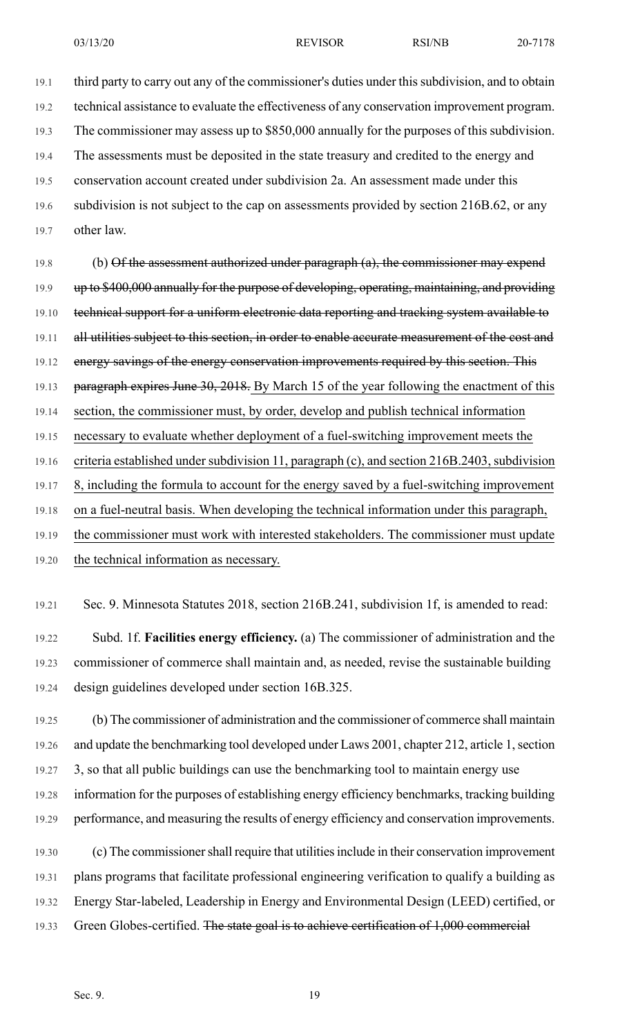19.1 third party to carry out any of the commissioner's duties under this subdivision, and to obtain 19.2 technical assistance to evaluate the effectiveness of any conservation improvement program. 19.3 The commissioner may assess up to \$850,000 annually for the purposes of this subdivision. 19.4 The assessments must be deposited in the state treasury and credited to the energy and 19.5 conservation account created under subdivision 2a. An assessment made under this 19.6 subdivision is not subject to the cap on assessments provided by section 216B.62, or any

19.7 other law.

19.8 (b) Of the assessment authorized under paragraph (a), the commissioner may expend 19.9 up to \$400,000 annually for the purpose of developing, operating, maintaining, and providing 19.10 technical support for a uniform electronic data reporting and tracking system available to 19.11 all utilities subject to this section, in order to enable accurate measurement of the cost and 19.12 energy savings of the energy conservation improvements required by this section. This 19.13 paragraph expires June 30, 2018. By March 15 of the year following the enactment of this 19.14 section, the commissioner must, by order, develop and publish technical information 19.15 necessary to evaluate whether deployment of a fuel-switching improvement meets the 19.16 criteria established under subdivision 11, paragraph (c), and section 216B.2403, subdivision 19.17 8, including the formula to account for the energy saved by a fuel-switching improvement 19.18 on a fuel-neutral basis. When developing the technical information under this paragraph, 19.19 the commissioner must work with interested stakeholders. The commissioner must update

- 19.20 the technical information as necessary.
- 19.21 Sec. 9. Minnesota Statutes 2018, section 216B.241, subdivision 1f, is amended to read:

19.22 Subd. 1f. **Facilities energy efficiency.** (a) The commissioner of administration and the 19.23 commissioner of commerce shall maintain and, as needed, revise the sustainable building 19.24 design guidelines developed under section 16B.325.

19.25 (b) The commissioner of administration and the commissioner of commerce shall maintain 19.26 and update the benchmarking tool developed under Laws 2001, chapter 212, article 1,section 19.27 3, so that all public buildings can use the benchmarking tool to maintain energy use 19.28 information for the purposes of establishing energy efficiency benchmarks, tracking building 19.29 performance, and measuring the results of energy efficiency and conservation improvements.

19.30 (c) The commissionershall require that utilitiesinclude in their conservation improvement 19.31 plans programs that facilitate professional engineering verification to qualify a building as 19.32 Energy Star-labeled, Leadership in Energy and Environmental Design (LEED) certified, or 19.33 Green Globes-certified. The state goal is to achieve certification of 1,000 commercial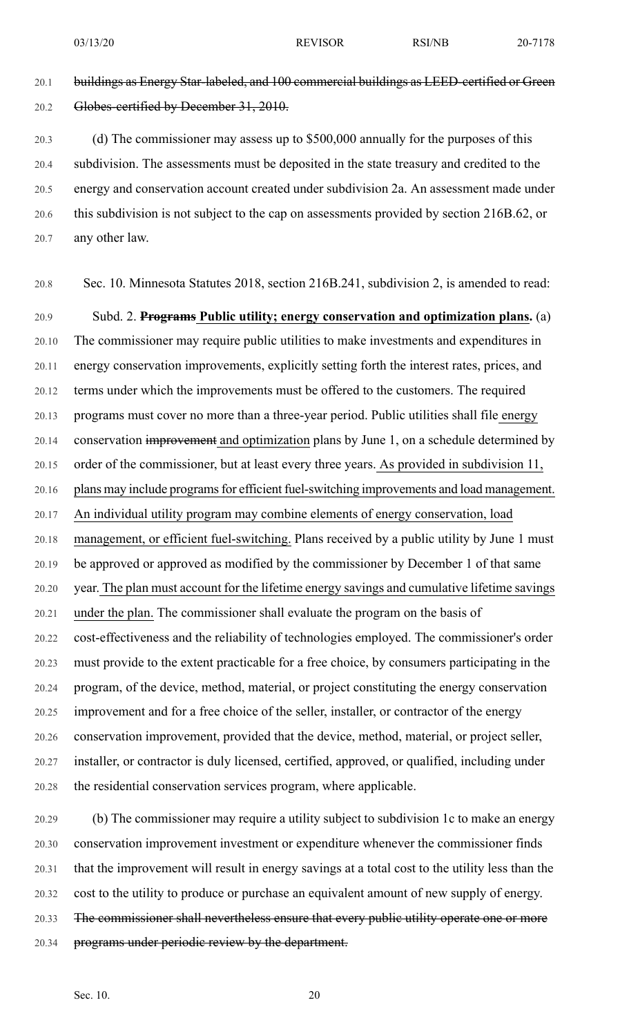20.1 buildings as Energy Star-labeled, and 100 commercial buildings as LEED-certified or Green 20.2 Globes-certified by December 31, 2010.

20.3 (d) The commissioner may assess up to \$500,000 annually for the purposes of this 20.4 subdivision. The assessments must be deposited in the state treasury and credited to the 20.5 energy and conservation account created under subdivision 2a. An assessment made under 20.6 this subdivision is not subject to the cap on assessments provided by section 216B.62, or 20.7 any other law.

20.8 Sec. 10. Minnesota Statutes 2018, section 216B.241, subdivision 2, is amended to read:

20.9 Subd. 2. **Programs Public utility; energy conservation and optimization plans.** (a) 20.10 The commissioner may require public utilities to make investments and expenditures in 20.11 energy conservation improvements, explicitly setting forth the interest rates, prices, and 20.12 terms under which the improvements must be offered to the customers. The required 20.13 programs must cover no more than a three-year period. Public utilities shall file energy 20.14 conservation improvement and optimization plans by June 1, on a schedule determined by 20.15 order of the commissioner, but at least every three years. As provided in subdivision 11, 20.16 plans may include programs for efficient fuel-switching improvements and load management. 20.17 An individual utility program may combine elements of energy conservation, load 20.18 management, or efficient fuel-switching. Plans received by a public utility by June 1 must 20.19 be approved or approved as modified by the commissioner by December 1 of that same 20.20 year. The plan must account for the lifetime energy savings and cumulative lifetime savings 20.21 under the plan. The commissioner shall evaluate the program on the basis of 20.22 cost-effectiveness and the reliability of technologies employed. The commissioner's order 20.23 must provide to the extent practicable for a free choice, by consumers participating in the 20.24 program, of the device, method, material, or project constituting the energy conservation 20.25 improvement and for a free choice of the seller, installer, or contractor of the energy 20.26 conservation improvement, provided that the device, method, material, or project seller, 20.27 installer, or contractor is duly licensed, certified, approved, or qualified, including under 20.28 the residential conservation services program, where applicable.

20.29 (b) The commissioner may require a utility subject to subdivision 1c to make an energy 20.30 conservation improvement investment or expenditure whenever the commissioner finds 20.31 that the improvement will result in energy savings at a total cost to the utility less than the 20.32 cost to the utility to produce or purchase an equivalent amount of new supply of energy. 20.33 The commissioner shall nevertheless ensure that every public utility operate one or more 20.34 programs under periodic review by the department.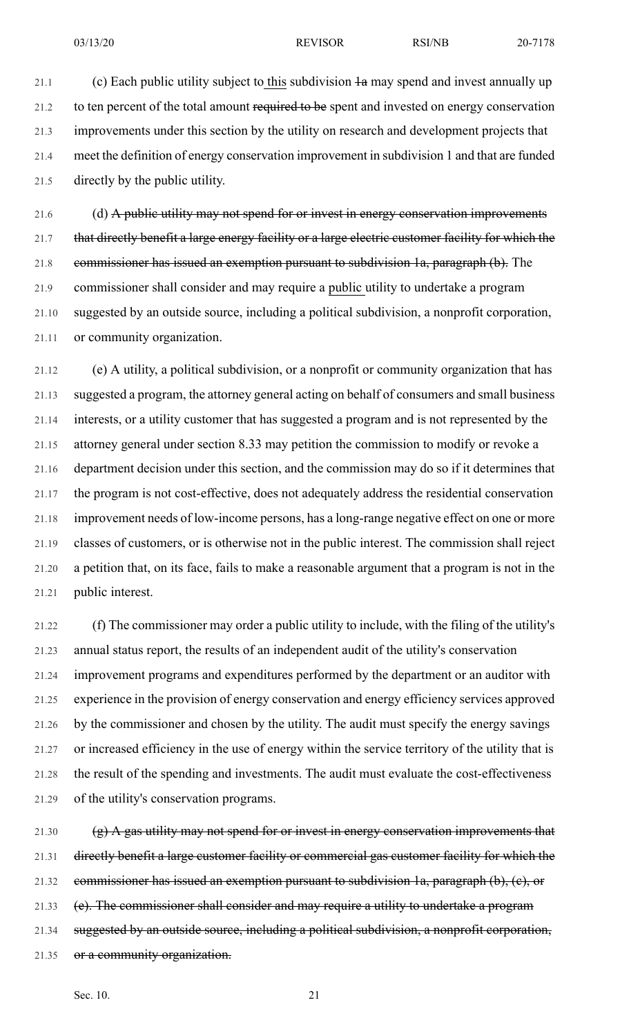21.1 (c) Each public utility subject to this subdivision  $\frac{1}{2}$  may spend and invest annually up 21.2 to ten percent of the total amount required to be spent and invested on energy conservation 21.3 improvements under this section by the utility on research and development projects that 21.4 meet the definition of energy conservation improvement in subdivision 1 and that are funded 21.5 directly by the public utility.

21.6 (d) A public utility may not spend for or invest in energy conservation improvements 21.7 that directly benefit a large energy facility or a large electric customer facility for which the 21.8 commissioner has issued an exemption pursuant to subdivision 1a, paragraph (b). The 21.9 commissioner shall consider and may require a public utility to undertake a program 21.10 suggested by an outside source, including a political subdivision, a nonprofit corporation, 21.11 or community organization.

21.12 (e) A utility, a political subdivision, or a nonprofit or community organization that has 21.13 suggested a program, the attorney general acting on behalf of consumers and small business 21.14 interests, or a utility customer that has suggested a program and is not represented by the 21.15 attorney general under section 8.33 may petition the commission to modify or revoke a 21.16 department decision under this section, and the commission may do so if it determines that 21.17 the program is not cost-effective, does not adequately address the residential conservation 21.18 improvement needs of low-income persons, has a long-range negative effect on one or more 21.19 classes of customers, or is otherwise not in the public interest. The commission shall reject 21.20 a petition that, on its face, fails to make a reasonable argument that a program is not in the 21.21 public interest.

21.22 (f) The commissioner may order a public utility to include, with the filing of the utility's 21.23 annual status report, the results of an independent audit of the utility's conservation 21.24 improvement programs and expenditures performed by the department or an auditor with 21.25 experience in the provision of energy conservation and energy efficiency services approved 21.26 by the commissioner and chosen by the utility. The audit must specify the energy savings 21.27 or increased efficiency in the use of energy within the service territory of the utility that is 21.28 the result of the spending and investments. The audit must evaluate the cost-effectiveness 21.29 of the utility's conservation programs.

21.30  $(g)$  A gas utility may not spend for or invest in energy conservation improvements that 21.31 directly benefit a large customer facility or commercial gas customer facility for which the 21.32 commissioner has issued an exemption pursuant to subdivision 1a, paragraph  $(b)$ ,  $(c)$ , or 21.33 (e). The commissioner shall consider and may require a utility to undertake a program 21.34 suggested by an outside source, including a political subdivision, a nonprofit corporation, 21.35 or a community organization.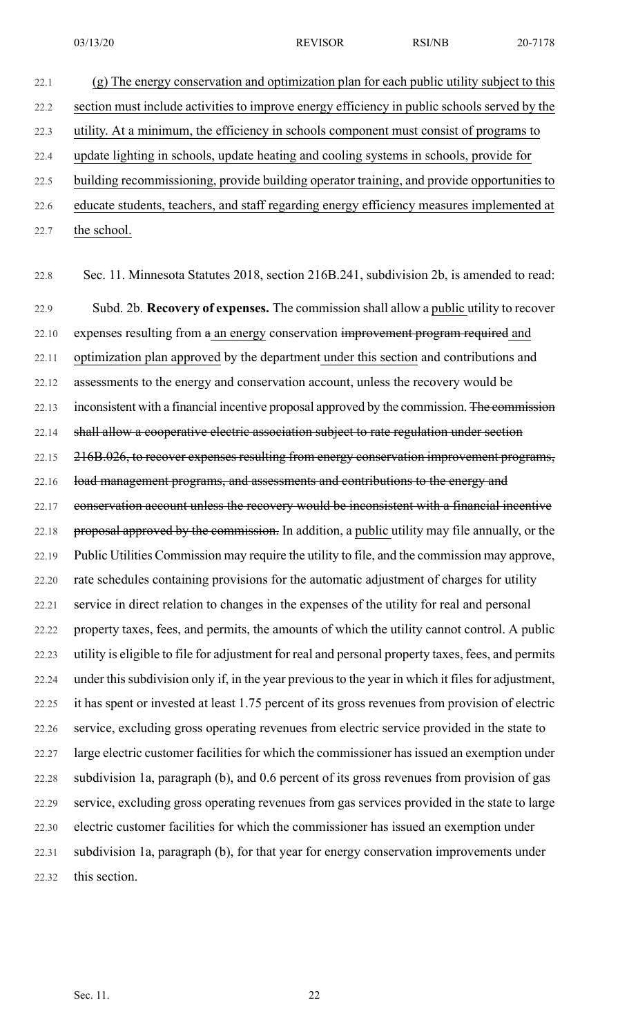22.1 (g) The energy conservation and optimization plan for each public utility subject to this 22.2 section must include activities to improve energy efficiency in public schools served by the 22.3 utility. At a minimum, the efficiency in schools component must consist of programs to 22.4 update lighting in schools, update heating and cooling systems in schools, provide for 22.5 building recommissioning, provide building operator training, and provide opportunities to 22.6 educate students, teachers, and staff regarding energy efficiency measures implemented at 22.7 the school.

22.8 Sec. 11. Minnesota Statutes 2018, section 216B.241, subdivision 2b, is amended to read: 22.9 Subd. 2b. **Recovery of expenses.** The commission shall allow a public utility to recover 22.10 expenses resulting from a an energy conservation improvement program required and 22.11 optimization plan approved by the department under this section and contributions and 22.12 assessments to the energy and conservation account, unless the recovery would be 22.13 inconsistent with a financial incentive proposal approved by the commission. The commission 22.14 shall allow a cooperative electric association subject to rate regulation under section 22.15 216B.026, to recover expenses resulting from energy conservation improvement programs, 22.16 load management programs, and assessments and contributions to the energy and 22.17 conservation account unless the recovery would be inconsistent with a financial incentive 22.18 proposal approved by the commission. In addition, a public utility may file annually, or the 22.19 Public Utilities Commission may require the utility to file, and the commission may approve, 22.20 rate schedules containing provisions for the automatic adjustment of charges for utility 22.21 service in direct relation to changes in the expenses of the utility for real and personal 22.22 property taxes, fees, and permits, the amounts of which the utility cannot control. A public 22.23 utility is eligible to file for adjustment for real and personal property taxes, fees, and permits 22.24 under this subdivision only if, in the year previous to the year in which it files for adjustment, 22.25 it has spent or invested at least 1.75 percent of its gross revenues from provision of electric 22.26 service, excluding gross operating revenues from electric service provided in the state to 22.27 large electric customer facilities for which the commissioner has issued an exemption under 22.28 subdivision 1a, paragraph (b), and 0.6 percent of its gross revenues from provision of gas 22.29 service, excluding gross operating revenues from gas services provided in the state to large 22.30 electric customer facilities for which the commissioner has issued an exemption under 22.31 subdivision 1a, paragraph (b), for that year for energy conservation improvements under 22.32 this section.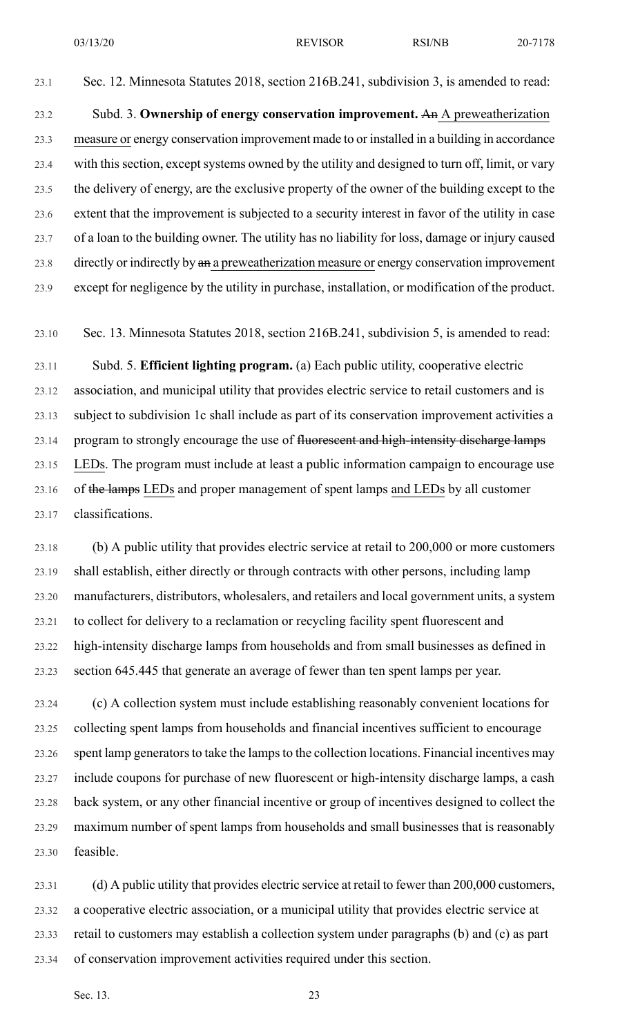23.1 Sec. 12. Minnesota Statutes 2018, section 216B.241, subdivision 3, is amended to read:

23.2 Subd. 3. **Ownership of energy conservation improvement.** An A preweatherization 23.3 measure or energy conservation improvement made to or installed in a building in accordance 23.4 with this section, except systems owned by the utility and designed to turn off, limit, or vary 23.5 the delivery of energy, are the exclusive property of the owner of the building except to the 23.6 extent that the improvement is subjected to a security interest in favor of the utility in case 23.7 of a loan to the building owner. The utility has no liability for loss, damage or injury caused 23.8 directly or indirectly by  $\theta$  an a preweatherization measure or energy conservation improvement 23.9 except for negligence by the utility in purchase, installation, or modification of the product.

23.10 Sec. 13. Minnesota Statutes 2018, section 216B.241, subdivision 5, is amended to read:

23.11 Subd. 5. **Efficient lighting program.** (a) Each public utility, cooperative electric 23.12 association, and municipal utility that provides electric service to retail customers and is 23.13 subject to subdivision 1c shall include as part of its conservation improvement activities a 23.14 program to strongly encourage the use of fluorescent and high-intensity discharge lamps 23.15 LEDs. The program must include at least a public information campaign to encourage use 23.16 of the lamps LEDs and proper management of spent lamps and LEDs by all customer 23.17 classifications.

23.18 (b) A public utility that provides electric service at retail to 200,000 or more customers 23.19 shall establish, either directly or through contracts with other persons, including lamp 23.20 manufacturers, distributors, wholesalers, and retailers and local government units, a system 23.21 to collect for delivery to a reclamation or recycling facility spent fluorescent and 23.22 high-intensity discharge lamps from households and from small businesses as defined in 23.23 section 645.445 that generate an average of fewer than ten spent lamps per year.

23.24 (c) A collection system must include establishing reasonably convenient locations for 23.25 collecting spent lamps from households and financial incentives sufficient to encourage 23.26 spent lamp generators to take the lamps to the collection locations. Financial incentives may 23.27 include coupons for purchase of new fluorescent or high-intensity discharge lamps, a cash 23.28 back system, or any other financial incentive or group of incentives designed to collect the 23.29 maximum number of spent lamps from households and small businesses that is reasonably 23.30 feasible.

23.31 (d) A public utility that provides electric service at retail to fewer than 200,000 customers, 23.32 a cooperative electric association, or a municipal utility that provides electric service at 23.33 retail to customers may establish a collection system under paragraphs (b) and (c) as part 23.34 of conservation improvement activities required under this section.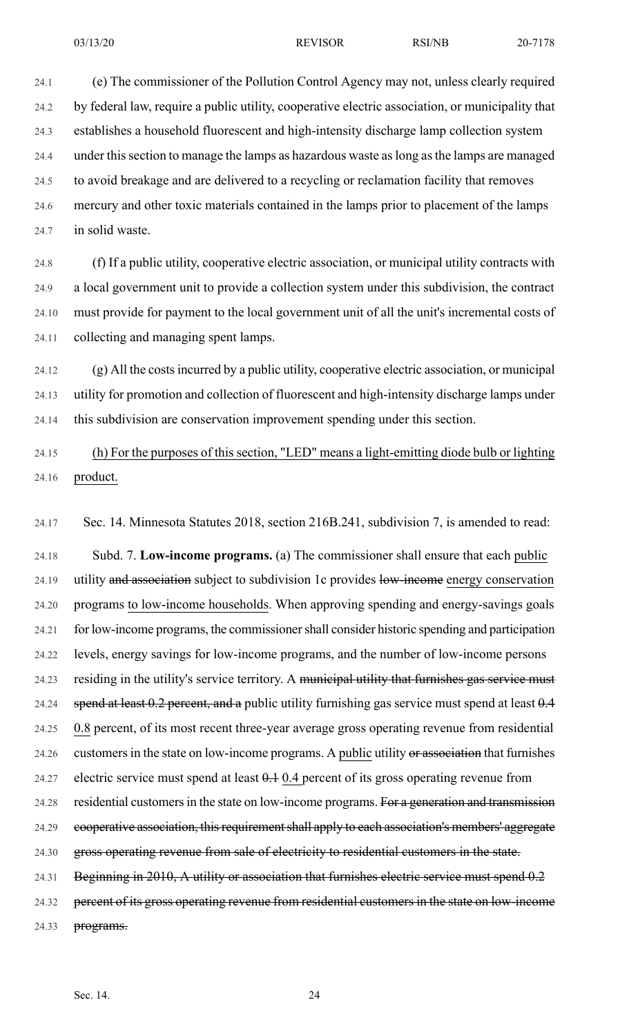24.1 (e) The commissioner of the Pollution Control Agency may not, unless clearly required 24.2 by federal law, require a public utility, cooperative electric association, or municipality that 24.3 establishes a household fluorescent and high-intensity discharge lamp collection system 24.4 under thissection to manage the lamps as hazardous waste aslong asthe lamps are managed 24.5 to avoid breakage and are delivered to a recycling or reclamation facility that removes 24.6 mercury and other toxic materials contained in the lamps prior to placement of the lamps 24.7 in solid waste.

24.8 (f) If a public utility, cooperative electric association, or municipal utility contracts with 24.9 a local government unit to provide a collection system under this subdivision, the contract 24.10 must provide for payment to the local government unit of all the unit's incremental costs of 24.11 collecting and managing spent lamps.

24.12 (g) All the costsincurred by a public utility, cooperative electric association, or municipal 24.13 utility for promotion and collection of fluorescent and high-intensity discharge lamps under 24.14 this subdivision are conservation improvement spending under this section.

24.15 (h) For the purposes of this section, "LED" means a light-emitting diode bulb or lighting 24.16 product.

24.17 Sec. 14. Minnesota Statutes 2018, section 216B.241, subdivision 7, is amended to read:

24.18 Subd. 7. **Low-income programs.** (a) The commissioner shall ensure that each public 24.19 utility and association subject to subdivision 1c provides low-income energy conservation 24.20 programs to low-income households. When approving spending and energy-savings goals 24.21 for low-income programs, the commissionershall consider historic spending and participation 24.22 levels, energy savings for low-income programs, and the number of low-income persons 24.23 residing in the utility's service territory. A municipal utility that furnishes gas service must 24.24 spend at least  $0.2$  percent, and a public utility furnishing gas service must spend at least  $0.4$ 24.25 0.8 percent, of its most recent three-year average gross operating revenue from residential 24.26 customers in the state on low-income programs. A public utility or association that furnishes 24.27 electric service must spend at least  $0.1$  0.4 percent of its gross operating revenue from 24.28 residential customers in the state on low-income programs. For a generation and transmission 24.29 cooperative association, this requirement shall apply to each association's members' aggregate 24.30 gross operating revenue from sale of electricity to residential customers in the state.

24.31 Beginning in 2010, A utility or association that furnishes electric service must spend 0.2

24.32 percent of its gross operating revenue from residential customers in the state on low-income

24.33 programs.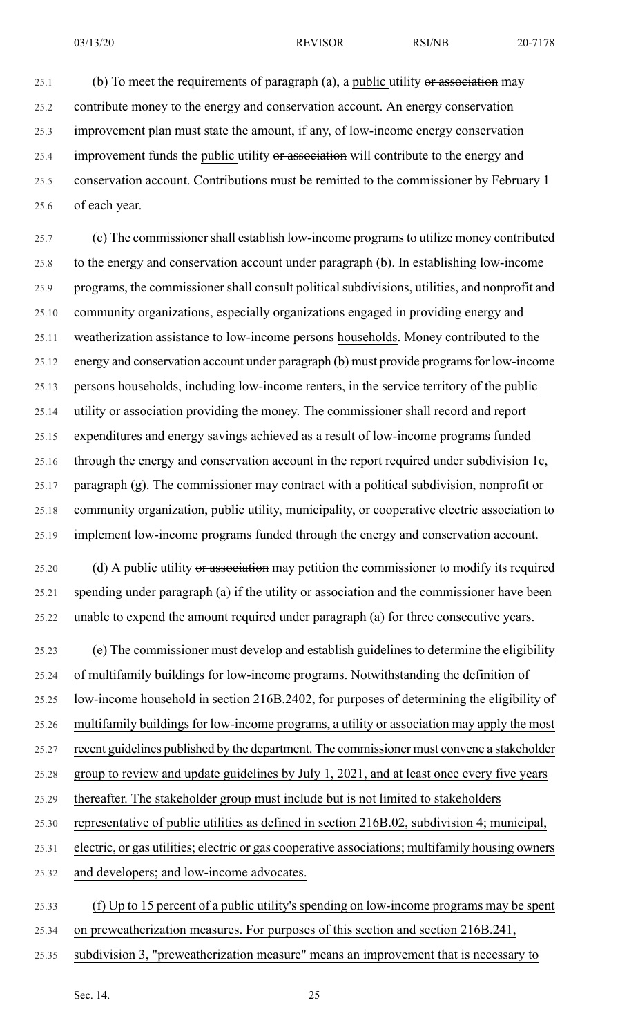$25.1$  (b) To meet the requirements of paragraph (a), a public utility or association may 25.2 contribute money to the energy and conservation account. An energy conservation 25.3 improvement plan must state the amount, if any, of low-income energy conservation 25.4 improvement funds the public utility or association will contribute to the energy and 25.5 conservation account. Contributions must be remitted to the commissioner by February 1 25.6 of each year.

25.7 (c) The commissionershall establish low-income programsto utilize money contributed 25.8 to the energy and conservation account under paragraph (b). In establishing low-income 25.9 programs, the commissioner shall consult political subdivisions, utilities, and nonprofit and 25.10 community organizations, especially organizations engaged in providing energy and 25.11 weatherization assistance to low-income persons households. Money contributed to the 25.12 energy and conservation account under paragraph (b) must provide programs for low-income 25.13 persons households, including low-income renters, in the service territory of the public 25.14 utility or association providing the money. The commissioner shall record and report 25.15 expenditures and energy savings achieved as a result of low-income programs funded 25.16 through the energy and conservation account in the report required under subdivision 1c, 25.17 paragraph (g). The commissioner may contract with a political subdivision, nonprofit or 25.18 community organization, public utility, municipality, or cooperative electric association to 25.19 implement low-income programs funded through the energy and conservation account.

25.20 (d) A public utility or association may petition the commissioner to modify its required 25.21 spending under paragraph (a) if the utility or association and the commissioner have been 25.22 unable to expend the amount required under paragraph (a) for three consecutive years.

25.23 (e) The commissioner must develop and establish guidelines to determine the eligibility

25.24 of multifamily buildings for low-income programs. Notwithstanding the definition of

25.25 low-income household in section 216B.2402, for purposes of determining the eligibility of

25.26 multifamily buildings for low-income programs, a utility or association may apply the most

25.27 recent guidelines published by the department. The commissioner must convene a stakeholder

25.28 group to review and update guidelines by July 1, 2021, and at least once every five years

- 25.29 thereafter. The stakeholder group must include but is not limited to stakeholders
- 25.30 representative of public utilities as defined in section 216B.02, subdivision 4; municipal,

25.31 electric, or gas utilities; electric or gas cooperative associations; multifamily housing owners

25.32 and developers; and low-income advocates.

- 25.33 (f) Up to 15 percent of a public utility's spending on low-income programs may be spent
- 25.34 on preweatherization measures. For purposes of this section and section 216B.241,
- 25.35 subdivision 3, "preweatherization measure" means an improvement that is necessary to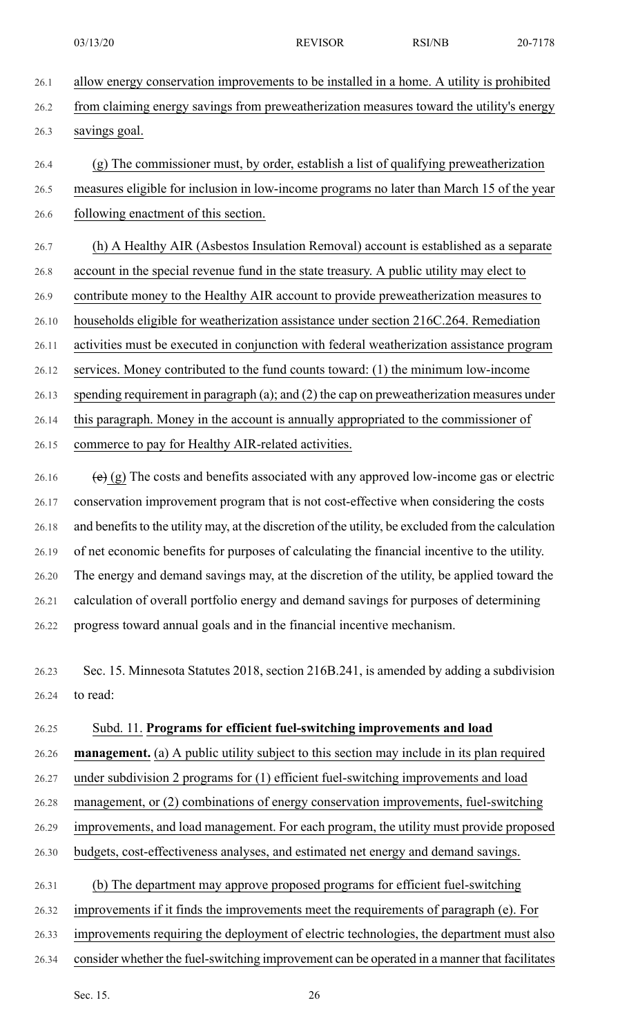- 26.1 allow energy conservation improvements to be installed in a home. A utility is prohibited 26.2 from claiming energy savings from preweatherization measures toward the utility's energy 26.3 savings goal.
- 26.4 (g) The commissioner must, by order, establish a list of qualifying preweatherization 26.5 measures eligible for inclusion in low-income programs no later than March 15 of the year 26.6 following enactment of this section.
- 26.7 (h) A Healthy AIR (Asbestos Insulation Removal) account is established as a separate 26.8 account in the special revenue fund in the state treasury. A public utility may elect to 26.9 contribute money to the Healthy AIR account to provide preweatherization measures to 26.10 households eligible for weatherization assistance under section 216C.264. Remediation 26.11 activities must be executed in conjunction with federal weatherization assistance program 26.12 services. Money contributed to the fund counts toward: (1) the minimum low-income 26.13 spending requirement in paragraph (a); and (2) the cap on preweatherization measures under 26.14 this paragraph. Money in the account is annually appropriated to the commissioner of 26.15 commerce to pay for Healthy AIR-related activities.
- 26.16  $\left(e\right)$  (g) The costs and benefits associated with any approved low-income gas or electric 26.17 conservation improvement program that is not cost-effective when considering the costs 26.18 and benefits to the utility may, at the discretion of the utility, be excluded from the calculation 26.19 of net economic benefits for purposes of calculating the financial incentive to the utility. 26.20 The energy and demand savings may, at the discretion of the utility, be applied toward the 26.21 calculation of overall portfolio energy and demand savings for purposes of determining 26.22 progress toward annual goals and in the financial incentive mechanism.
- 26.23 Sec. 15. Minnesota Statutes 2018, section 216B.241, is amended by adding a subdivision 26.24 to read:

### 26.25 Subd. 11. **Programs for efficient fuel-switching improvements and load**

26.26 **management.** (a) A public utility subject to this section may include in its plan required

- 26.27 under subdivision 2 programs for (1) efficient fuel-switching improvements and load
- 26.28 management, or (2) combinations of energy conservation improvements, fuel-switching
- 26.29 improvements, and load management. For each program, the utility must provide proposed
- 26.30 budgets, cost-effectiveness analyses, and estimated net energy and demand savings.
- 26.31 (b) The department may approve proposed programs for efficient fuel-switching
- 26.32 improvements if it finds the improvements meet the requirements of paragraph (e). For
- 26.33 improvements requiring the deployment of electric technologies, the department must also
- 26.34 consider whether the fuel-switching improvement can be operated in a manner that facilitates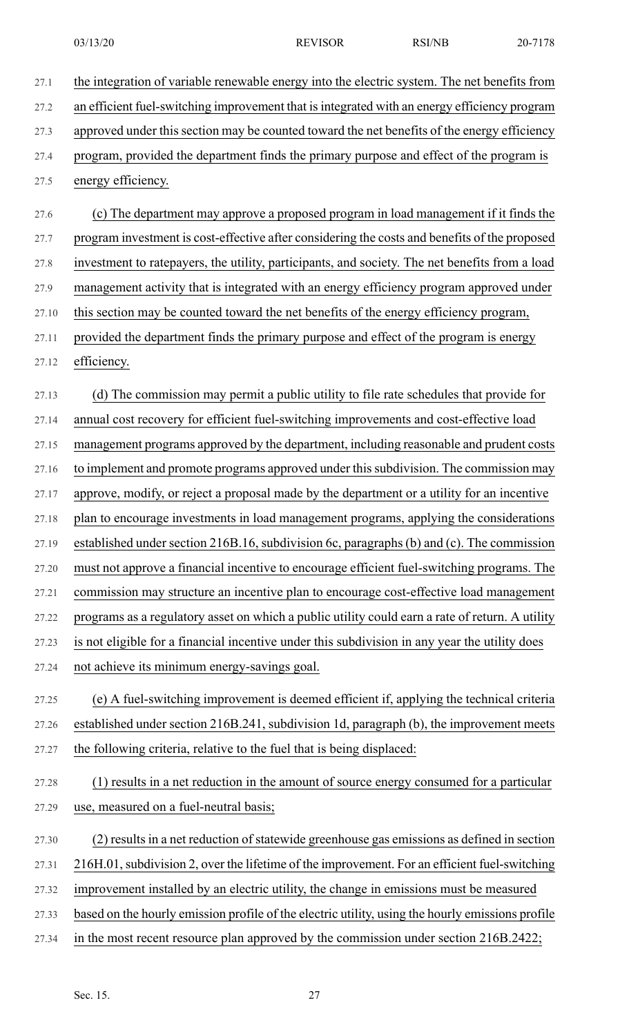27.1 the integration of variable renewable energy into the electric system. The net benefits from 27.2 an efficient fuel-switching improvement that isintegrated with an energy efficiency program 27.3 approved under this section may be counted toward the net benefits of the energy efficiency 27.4 program, provided the department finds the primary purpose and effect of the program is 27.5 energy efficiency. 27.6 (c) The department may approve a proposed program in load management if it finds the 27.7 program investment is cost-effective after considering the costs and benefits of the proposed 27.8 investment to ratepayers, the utility, participants, and society. The net benefits from a load 27.9 management activity that is integrated with an energy efficiency program approved under 27.10 this section may be counted toward the net benefits of the energy efficiency program, 27.11 provided the department finds the primary purpose and effect of the program is energy 27.12 efficiency. 27.13 (d) The commission may permit a public utility to file rate schedules that provide for 27.14 annual cost recovery for efficient fuel-switching improvements and cost-effective load 27.15 management programs approved by the department, including reasonable and prudent costs 27.16 to implement and promote programs approved under this subdivision. The commission may 27.17 approve, modify, or reject a proposal made by the department or a utility for an incentive 27.18 plan to encourage investments in load management programs, applying the considerations 27.19 established under section 216B.16, subdivision 6c, paragraphs (b) and (c). The commission 27.20 must not approve a financial incentive to encourage efficient fuel-switching programs. The 27.21 commission may structure an incentive plan to encourage cost-effective load management 27.22 programs as a regulatory asset on which a public utility could earn a rate of return. A utility 27.23 is not eligible for a financial incentive under this subdivision in any year the utility does 27.24 not achieve its minimum energy-savings goal. 27.25 (e) A fuel-switching improvement is deemed efficient if, applying the technical criteria 27.26 established under section 216B.241, subdivision 1d, paragraph (b), the improvement meets 27.27 the following criteria, relative to the fuel that is being displaced: 27.28 (1) results in a net reduction in the amount of source energy consumed for a particular 27.29 use, measured on a fuel-neutral basis; 27.30 (2) results in a net reduction of statewide greenhouse gas emissions as defined in section 27.31 216H.01,subdivision 2, over the lifetime of the improvement. For an efficient fuel-switching 27.32 improvement installed by an electric utility, the change in emissions must be measured 27.33 based on the hourly emission profile of the electric utility, using the hourly emissions profile 27.34 in the most recent resource plan approved by the commission under section 216B.2422;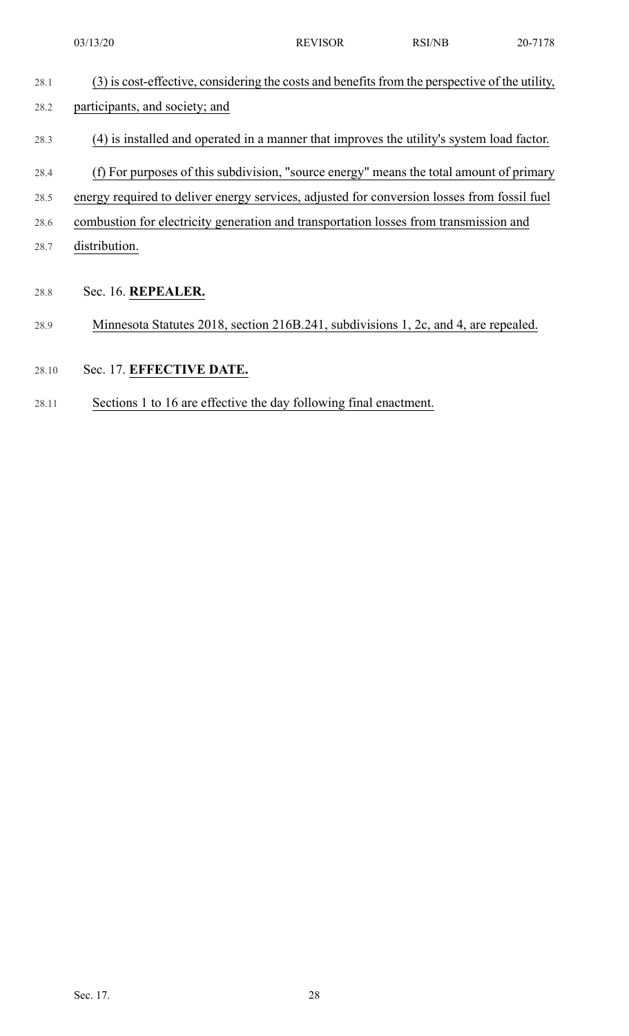| 28.1 | (3) is cost-effective, considering the costs and benefits from the perspective of the utility, |
|------|------------------------------------------------------------------------------------------------|
| 28.2 | participants, and society; and                                                                 |
| 28.3 | (4) is installed and operated in a manner that improves the utility's system load factor.      |
| 28.4 | (f) For purposes of this subdivision, "source energy" means the total amount of primary        |
| 28.5 | energy required to deliver energy services, adjusted for conversion losses from fossil fuel    |
| 28.6 | combustion for electricity generation and transportation losses from transmission and          |
| 28.7 | distribution.                                                                                  |
|      |                                                                                                |
| 28.8 | Sec. 16. REPEALER.                                                                             |
| 28.9 | Minnesota Statutes 2018, section 216B.241, subdivisions 1, 2c, and 4, are repealed.            |

- 28.10 Sec. 17. **EFFECTIVE DATE.**
- 28.11 Sections 1 to 16 are effective the day following final enactment.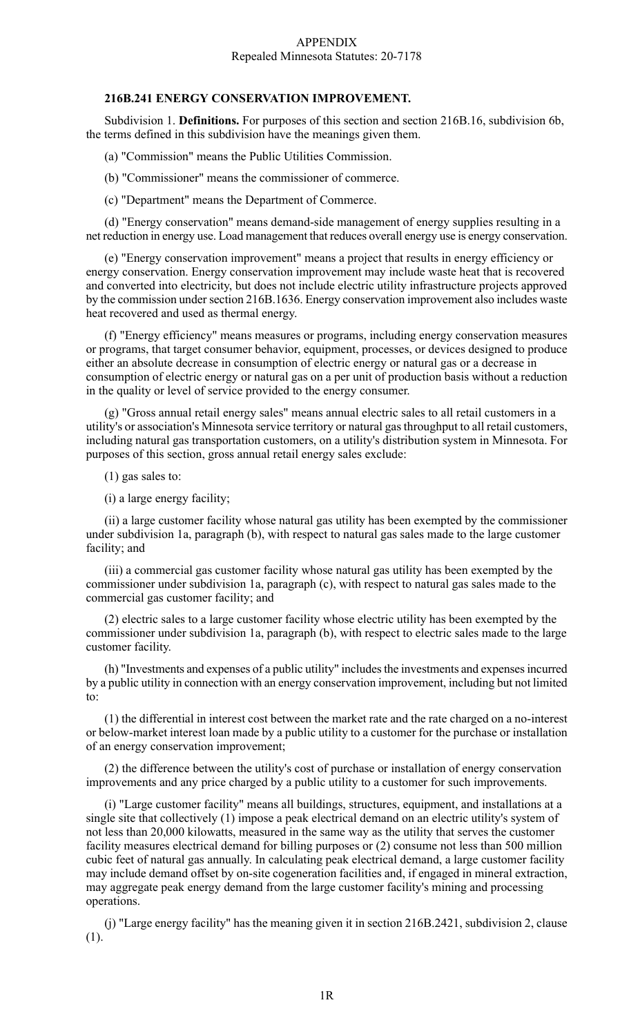#### APPENDIX Repealed Minnesota Statutes: 20-7178

#### **216B.241 ENERGY CONSERVATION IMPROVEMENT.**

Subdivision 1. **Definitions.** For purposes of this section and section 216B.16, subdivision 6b, the terms defined in this subdivision have the meanings given them.

(a) "Commission" means the Public Utilities Commission.

(b) "Commissioner" means the commissioner of commerce.

(c) "Department" means the Department of Commerce.

(d) "Energy conservation" means demand-side management of energy supplies resulting in a net reduction in energy use. Load management that reduces overall energy use is energy conservation.

(e) "Energy conservation improvement" means a project that results in energy efficiency or energy conservation. Energy conservation improvement may include waste heat that is recovered and converted into electricity, but does not include electric utility infrastructure projects approved by the commission under section 216B.1636. Energy conservation improvement also includes waste heat recovered and used as thermal energy.

(f) "Energy efficiency" means measures or programs, including energy conservation measures or programs, that target consumer behavior, equipment, processes, or devices designed to produce either an absolute decrease in consumption of electric energy or natural gas or a decrease in consumption of electric energy or natural gas on a per unit of production basis without a reduction in the quality or level of service provided to the energy consumer.

(g) "Gross annual retail energy sales" means annual electric sales to all retail customers in a utility's or association's Minnesota service territory or natural gas throughput to all retail customers, including natural gas transportation customers, on a utility's distribution system in Minnesota. For purposes of this section, gross annual retail energy sales exclude:

(1) gas sales to:

(i) a large energy facility;

(ii) a large customer facility whose natural gas utility has been exempted by the commissioner under subdivision 1a, paragraph (b), with respect to natural gas sales made to the large customer facility; and

(iii) a commercial gas customer facility whose natural gas utility has been exempted by the commissioner under subdivision 1a, paragraph (c), with respect to natural gas sales made to the commercial gas customer facility; and

(2) electric sales to a large customer facility whose electric utility has been exempted by the commissioner under subdivision 1a, paragraph (b), with respect to electric sales made to the large customer facility.

(h) "Investments and expenses of a public utility" includes the investments and expenses incurred by a public utility in connection with an energy conservation improvement, including but not limited to:

(1) the differential in interest cost between the market rate and the rate charged on a no-interest or below-market interest loan made by a public utility to a customer for the purchase or installation of an energy conservation improvement;

(2) the difference between the utility's cost of purchase or installation of energy conservation improvements and any price charged by a public utility to a customer for such improvements.

(i) "Large customer facility" means all buildings, structures, equipment, and installations at a single site that collectively (1) impose a peak electrical demand on an electric utility's system of not less than 20,000 kilowatts, measured in the same way as the utility that serves the customer facility measures electrical demand for billing purposes or (2) consume not less than 500 million cubic feet of natural gas annually. In calculating peak electrical demand, a large customer facility may include demand offset by on-site cogeneration facilities and, if engaged in mineral extraction, may aggregate peak energy demand from the large customer facility's mining and processing operations.

(j) "Large energy facility" has the meaning given it in section 216B.2421, subdivision 2, clause (1).